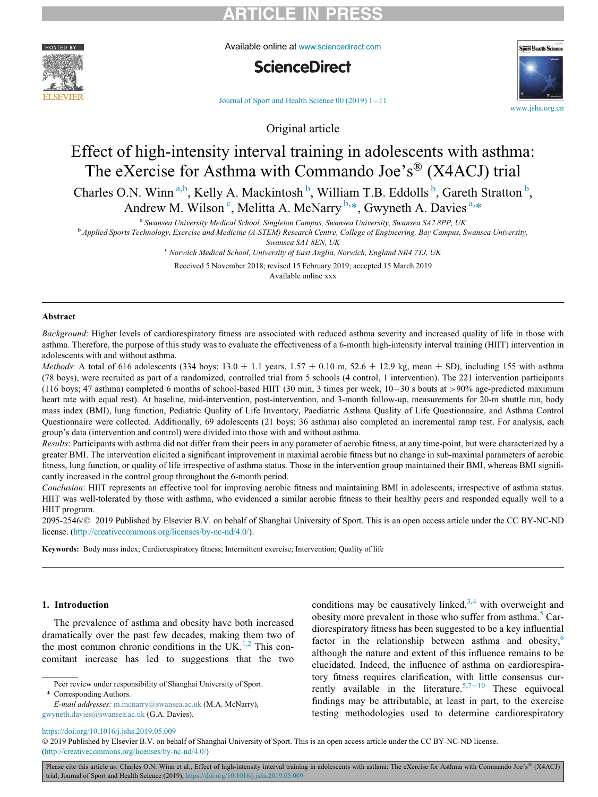



Available online at [www.sciencedirect.com](http://www.sciencedirect.com)





Journal of Sport and Health Science  $00(2019)$  1-[11](https://doi.org/)



Original article

# Effect of high-intensity interval training in adolescents with asthma: The eXercise for Asthma with Commando Joe's<sup>®</sup> (X4ACJ) trial

Charles O.N. Winn<sup>[a,](#page-0-0)[b](#page-0-1)</sup>, Kelly A. Mackintosh<sup>b</sup>, William T.B. Eddolls<sup>b</sup>, Gareth Stratton<sup>b</sup>, Andrew M. Wilson<sup>[c](#page-0-2)</sup>, Melitta A. McNarry<sup>[b](#page-0-1),[\\*](#page-0-3)</sup>, Gwyneth A. D[a](#page-0-0)vies<sup>a,\*</sup>

<span id="page-0-1"></span><span id="page-0-0"></span><sup>a</sup> Swansea University Medical School, Singleton Campus, Swansea University, Swansea SA2 8PP, UK<br>hpplied Sports Technology, Exercise and Medicine (A-STEM) Research Centre, College of Engineering, Bay Campus, Swansea Univer

Swansea SA1 8EN, UK<br><sup>c</sup> Norwich Medical School, University of East Anglia, Norwich, England NR4 7TJ, UK

Received 5 November 2018; revised 15 February 2019; accepted 15 March 2019 Available online xxx

#### <span id="page-0-2"></span>Abstract

Background: Higher levels of cardiorespiratory fitness are associated with reduced asthma severity and increased quality of life in those with asthma. Therefore, the purpose of this study was to evaluate the effectiveness of a 6-month high-intensity interval training (HIIT) intervention in adolescents with and without asthma.

*Methods*: A total of 616 adolescents (334 boys; 13.0  $\pm$  1.1 years, 1.57  $\pm$  0.10 m, 52.6  $\pm$  12.9 kg, mean  $\pm$  SD), including 155 with asthma (78 boys), were recruited as part of a randomized, controlled trial from 5 schools (4 control, 1 intervention). The 221 intervention participants (116 boys; 47 asthma) completed 6 months of school-based HIIT (30 min, 3 times per week,  $10-30$  s bouts at >90% age-predicted maximum heart rate with equal rest). At baseline, mid-intervention, post-intervention, and 3-month follow-up, measurements for 20-m shuttle run, body mass index (BMI), lung function, Pediatric Quality of Life Inventory, Paediatric Asthma Quality of Life Questionnaire, and Asthma Control Questionnaire were collected. Additionally, 69 adolescents (21 boys; 36 asthma) also completed an incremental ramp test. For analysis, each group's data (intervention and control) were divided into those with and without asthma.

Results: Participants with asthma did not differ from their peers in any parameter of aerobic fitness, at any time-point, but were characterized by a greater BMI. The intervention elicited a significant improvement in maximal aerobic fitness but no change in sub-maximal parameters of aerobic fitness, lung function, or quality of life irrespective of asthma status. Those in the intervention group maintained their BMI, whereas BMI significantly increased in the control group throughout the 6-month period.

Conclusion: HIIT represents an effective tool for improving aerobic fitness and maintaining BMI in adolescents, irrespective of asthma status. HIIT was well-tolerated by those with asthma, who evidenced a similar aerobic fitness to their healthy peers and responded equally well to a HIIT program.

2095-2546/ 2019 Published by Elsevier B.V. on behalf of Shanghai University of Sport. This is an open access article under the CC BY-NC-ND license. [\(http://creativecommons.org/licenses/by-nc-nd/4.0/\)](http://creativecommons.org/licenses/by-nc-nd/4.0/).

Keywords: Body mass index; Cardiorespiratory fitness; Intermittent exercise; Intervention; Quality of life

#### 1. Introduction

The prevalence of asthma and obesity have both increased dramatically over the past few decades, making them two of the most common chronic conditions in the  $UK<sup>1,2</sup>$  $UK<sup>1,2</sup>$  $UK<sup>1,2</sup>$ . This concomitant increase has led to suggestions that the two

Peer review under responsibility of Shanghai University of Sport.

\* Corresponding Authors.

<https://doi.org/10.1016/j.jshs.2019.05.009>

conditions may be causatively linked,  $3,4$  with overweight and obesity more prevalent in those who suffer from asthma. $5$  Cardiorespiratory fitness has been suggested to be a key influential factor in the relationship between asthma and obesity, $\frac{6}{5}$  $\frac{6}{5}$  $\frac{6}{5}$ although the nature and extent of this influence remains to be elucidated. Indeed, the influence of asthma on cardiorespiratory fitness requires clarification, with little consensus cur-rently available in the literature.<sup>[5](#page-9-2)[,7](#page-9-4)-[10](#page-9-4)</sup> These equivocal findings may be attributable, at least in part, to the exercise testing methodologies used to determine cardiorespiratory

Please cite this article as: Charles O.N. Winn et al., Effect of high-intensity interval training in adolescents with asthma: The eXercise for Asthma with Commando Joe's® (X4ACJ) trial, Journal of Sport and Health Science (2019), <https://doi.org/10.1016/j.jshs.2019.05.009>

<span id="page-0-3"></span>E-mail addresses: [m.mcnarry@swansea.ac.uk](mailto:m.mcnarry@swansea.ac.uk) (M.A. McNarry), [gwyneth.davies@swansea.ac.uk](mailto:gwyneth.davies@swansea.ac.uk) (G.A. Davies).

2019 Published by Elsevier B.V. on behalf of Shanghai University of Sport. This is an open access article under the CC BY-NC-ND license. (<http://creativecommons.org/licenses/by-nc-nd/4.0/>)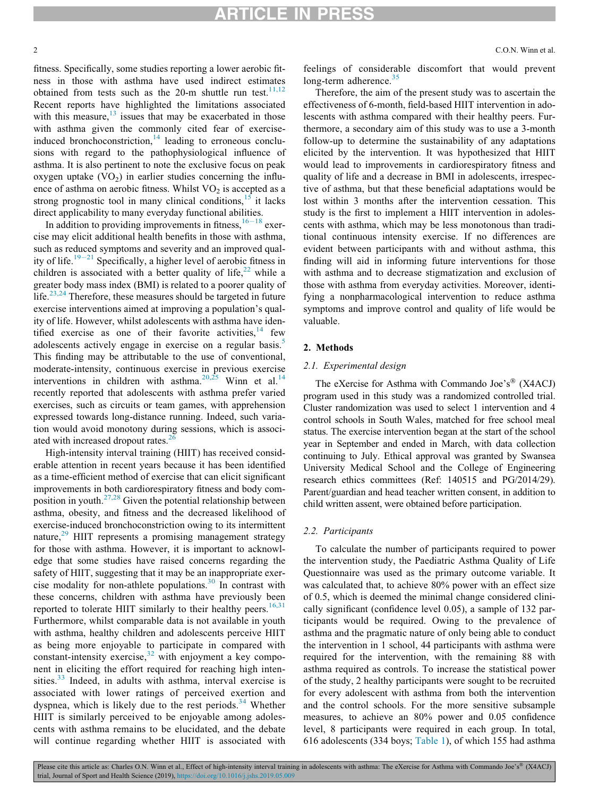fitness. Specifically, some studies reporting a lower aerobic fitness in those with asthma have used indirect estimates obtained from tests such as the 20-m shuttle run test.<sup>[11,12](#page-9-5)</sup> Recent reports have highlighted the limitations associated with this measure, $13$  issues that may be exacerbated in those with asthma given the commonly cited fear of exercise-induced bronchoconstriction.<sup>[14](#page-9-7)</sup> leading to erroneous conclusions with regard to the pathophysiological influence of asthma. It is also pertinent to note the exclusive focus on peak oxygen uptake  $(VO<sub>2</sub>)$  in earlier studies concerning the influence of asthma on aerobic fitness. Whilst  $VO<sub>2</sub>$  is accepted as a strong prognostic tool in many clinical conditions,  $15$  it lacks direct applicability to many everyday functional abilities.

In addition to providing improvements in fitness,  $16-18$  $16-18$  $16-18$  exercise may elicit additional health benefits in those with asthma, such as reduced symptoms and severity and an improved qual-ity of life.<sup>[19](#page-9-10)-[21](#page-9-10)</sup> Specifically, a higher level of aerobic fitness in children is associated with a better quality of life, $22$  while a greater body mass index (BMI) is related to a poorer quality of life.<sup>[23,24](#page-9-12)</sup> Therefore, these measures should be targeted in future exercise interventions aimed at improving a population's quality of life. However, whilst adolescents with asthma have identified exercise as one of their favorite activities,  $14$  few adolescents actively engage in exercise on a regular basis.<sup>[5](#page-9-2)</sup> This finding may be attributable to the use of conventional, moderate-intensity, continuous exercise in previous exercise interventions in children with asthma.<sup>[20,25](#page-9-13)</sup> Winn et al.<sup>[14](#page-9-7)</sup> recently reported that adolescents with asthma prefer varied exercises, such as circuits or team games, with apprehension expressed towards long-distance running. Indeed, such variation would avoid monotony during sessions, which is associated with increased dropout rates.<sup>2</sup>

High-intensity interval training (HIIT) has received considerable attention in recent years because it has been identified as a time-efficient method of exercise that can elicit significant improvements in both cardiorespiratory fitness and body composition in youth[.27,28](#page-9-15) Given the potential relationship between asthma, obesity, and fitness and the decreased likelihood of exercise-induced bronchoconstriction owing to its intermittent nature,<sup>[29](#page-9-16)</sup> HIIT represents a promising management strategy for those with asthma. However, it is important to acknowledge that some studies have raised concerns regarding the safety of HIIT, suggesting that it may be an inappropriate exercise modality for non-athlete populations.[30](#page-9-17) In contrast with these concerns, children with asthma have previously been reported to tolerate HIIT similarly to their healthy peers.<sup>[16,31](#page-9-9)</sup> Furthermore, whilst comparable data is not available in youth with asthma, healthy children and adolescents perceive HIIT as being more enjoyable to participate in compared with constant-intensity exercise, $32$  with enjoyment a key component in eliciting the effort required for reaching high intensities. $33$  Indeed, in adults with asthma, interval exercise is associated with lower ratings of perceived exertion and dyspnea, which is likely due to the rest periods. $34$  Whether HIIT is similarly perceived to be enjoyable among adolescents with asthma remains to be elucidated, and the debate will continue regarding whether HIIT is associated with feelings of considerable discomfort that would prevent long-term adherence. $35$ 

Therefore, the aim of the present study was to ascertain the effectiveness of 6-month, field-based HIIT intervention in adolescents with asthma compared with their healthy peers. Furthermore, a secondary aim of this study was to use a 3-month follow-up to determine the sustainability of any adaptations elicited by the intervention. It was hypothesized that HIIT would lead to improvements in cardiorespiratory fitness and quality of life and a decrease in BMI in adolescents, irrespective of asthma, but that these beneficial adaptations would be lost within 3 months after the intervention cessation. This study is the first to implement a HIIT intervention in adolescents with asthma, which may be less monotonous than traditional continuous intensity exercise. If no differences are evident between participants with and without asthma, this finding will aid in informing future interventions for those with asthma and to decrease stigmatization and exclusion of those with asthma from everyday activities. Moreover, identifying a nonpharmacological intervention to reduce asthma symptoms and improve control and quality of life would be valuable.

#### 2. Methods

#### 2.1. Experimental design

The eXercise for Asthma with Commando Joe's<sup>®</sup> (X4ACJ) program used in this study was a randomized controlled trial. Cluster randomization was used to select 1 intervention and 4 control schools in South Wales, matched for free school meal status. The exercise intervention began at the start of the school year in September and ended in March, with data collection continuing to July. Ethical approval was granted by Swansea University Medical School and the College of Engineering research ethics committees (Ref: 140515 and PG/2014/29). Parent/guardian and head teacher written consent, in addition to child written assent, were obtained before participation.

#### 2.2. Participants

To calculate the number of participants required to power the intervention study, the Paediatric Asthma Quality of Life Questionnaire was used as the primary outcome variable. It was calculated that, to achieve 80% power with an effect size of 0.5, which is deemed the minimal change considered clinically significant (confidence level 0.05), a sample of 132 participants would be required. Owing to the prevalence of asthma and the pragmatic nature of only being able to conduct the intervention in 1 school, 44 participants with asthma were required for the intervention, with the remaining 88 with asthma required as controls. To increase the statistical power of the study, 2 healthy participants were sought to be recruited for every adolescent with asthma from both the intervention and the control schools. For the more sensitive subsample measures, to achieve an 80% power and 0.05 confidence level, 8 participants were required in each group. In total, 616 adolescents (334 boys; [Table 1](#page-2-0)), of which 155 had asthma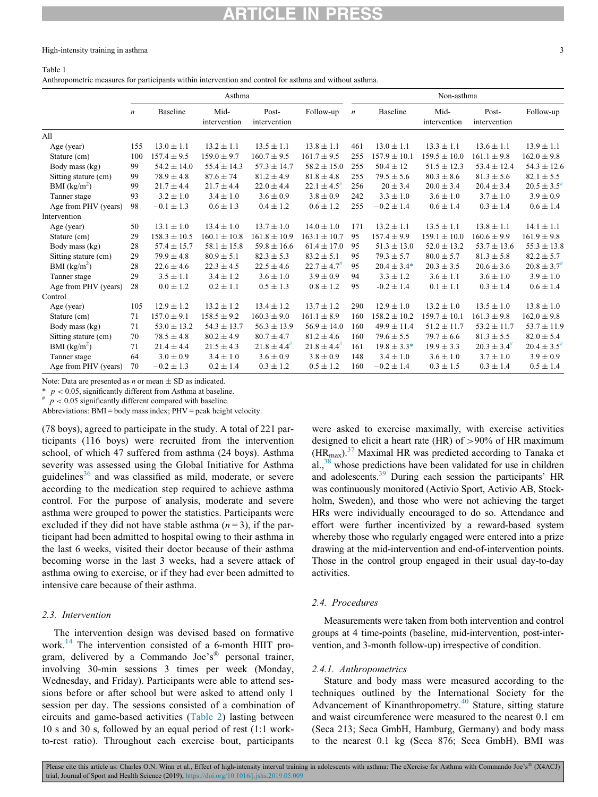## ARTICLE IN PRESS

#### High-intensity training in asthma 3

#### <span id="page-2-0"></span>Table 1

Anthropometric measures for participants within intervention and control for asthma and without asthma.

|                          |                  |                  | Asthma               |                             |                     | Non-asthma       |                  |                      |                       |                             |  |
|--------------------------|------------------|------------------|----------------------|-----------------------------|---------------------|------------------|------------------|----------------------|-----------------------|-----------------------------|--|
|                          | $\boldsymbol{n}$ | <b>Baseline</b>  | Mid-<br>intervention | Post-<br>intervention       | Follow-up           | $\boldsymbol{n}$ | Baseline         | Mid-<br>intervention | Post-<br>intervention | Follow-up                   |  |
| A11                      |                  |                  |                      |                             |                     |                  |                  |                      |                       |                             |  |
| Age (year)               | 155              | $13.0 \pm 1.1$   | $13.2 \pm 1.1$       | $13.5 \pm 1.1$              | $13.8 \pm 1.1$      | 461              | $13.0 \pm 1.1$   | $13.3 \pm 1.1$       | $13.6 \pm 1.1$        | $13.9 \pm 1.1$              |  |
| Stature (cm)             | 100              | $157.4 \pm 9.5$  | $159.0 \pm 9.7$      | $160.7 \pm 9.5$             | $161.7 \pm 9.5$     | 255              | $157.9 \pm 10.1$ | $159.5 \pm 10.0$     | $161.1 \pm 9.8$       | $162.0 \pm 9.8$             |  |
| Body mass (kg)           | 99               | $54.2 \pm 14.0$  | $55.4 \pm 14.3$      | $57.3 \pm 14.7$             | $58.2 \pm 15.0$     | 255              | $50.4 \pm 12$    | $51.5 \pm 12.3$      | $53.4 \pm 12.4$       | $54.3 \pm 12.6$             |  |
| Sitting stature (cm)     | 99               | $78.9 \pm 4.8$   | $87.6 \pm 74$        | $81.2 \pm 4.9$              | $81.8 \pm 4.8$      | 255              | $79.5 \pm 5.6$   | $80.3 \pm 8.6$       | $81.3 \pm 5.6$        | $82.1 \pm 5.5$              |  |
| BMI (kg/m <sup>2</sup> ) | 99               | $21.7 \pm 4.4$   | $21.7 \pm 4.4$       | $22.0 \pm 4.4$              | $22.1 \pm 4.5^{\#}$ | 256              | $20 \pm 3.4$     | $20.0 \pm 3.4$       | $20.4 \pm 3.4$        | $20.5 \pm 3.5^{\#}$         |  |
| Tanner stage             | 93               | $3.2 \pm 1.0$    | $3.4 \pm 1.0$        | $3.6 \pm 0.9$               | $3.8 \pm 0.9$       | 242              | $3.3 \pm 1.0$    | $3.6 \pm 1.0$        | $3.7 \pm 1.0$         | $3.9 \pm 0.9$               |  |
| Age from PHV (years)     | 98               | $-0.1 \pm 1.3$   | $0.6 \pm 1.3$        | $0.4 \pm 1.2$               | $0.6 \pm 1.2$       | 255              | $-0.2 \pm 1.4$   | $0.6 \pm 1.4$        | $0.3 \pm 1.4$         | $0.6 \pm 1.4$               |  |
| Intervention             |                  |                  |                      |                             |                     |                  |                  |                      |                       |                             |  |
| Age (year)               | 50               | $13.1 \pm 1.0$   | $13.4 \pm 1.0$       | $13.7 \pm 1.0$              | $14.0 \pm 1.0$      | 171              | $13.2 \pm 1.1$   | $13.5 \pm 1.1$       | $13.8 \pm 1.1$        | $14.1 \pm 1.1$              |  |
| Stature (cm)             | 29               | $158.3 \pm 10.5$ | $160.1 \pm 10.8$     | $161.8 \pm 10.9$            | $163.1 \pm 10.7$    | 95               | $157.4 \pm 9.9$  | $159.1 \pm 10.0$     | $160.6 \pm 9.9$       | $161.9 \pm 9.8$             |  |
| Body mass (kg)           | 28               | $57.4 \pm 15.7$  | $58.1 \pm 15.8$      | $59.8 \pm 16.6$             | $61.4 \pm 17.0$     | 95               | $51.3 \pm 13.0$  | $52.0 \pm 13.2$      | $53.7 \pm 13.6$       | $55.3 \pm 13.8$             |  |
| Sitting stature (cm)     | 29               | $79.9 \pm 4.8$   | $80.9 \pm 5.1$       | $82.3 \pm 5.3$              | $83.2 \pm 5.1$      | 95               | $79.3 \pm 5.7$   | $80.0 \pm 5.7$       | $81.3 \pm 5.8$        | $82.2 \pm 5.7$              |  |
| BMI (kg/m <sup>2</sup> ) | 28               | $22.6 \pm 4.6$   | $22.3 \pm 4.5$       | $22.5 \pm 4.6$              | $22.7 \pm 4.7^{\#}$ | 95               | $20.4 \pm 3.4*$  | $20.3 \pm 3.5$       | $20.6 \pm 3.6$        | $20.8 \pm 3.7$ <sup>#</sup> |  |
| Tanner stage             | 29               | $3.5 \pm 1.1$    | $3.4 \pm 1.2$        | $3.6 \pm 1.0$               | $3.9 \pm 0.9$       | 94               | $3.3 \pm 1.2$    | $3.6 \pm 1.1$        | $3.6 \pm 1.0$         | $3.9 \pm 1.0$               |  |
| Age from PHV (years)     | 28               | $0.0 \pm 1.2$    | $0.2 \pm 1.1$        | $0.5 \pm 1.3$               | $0.8 \pm 1.2$       | 95               | $-0.2 \pm 1.4$   | $0.1 \pm 1.1$        | $0.3 \pm 1.4$         | $0.6 \pm 1.4$               |  |
| Control                  |                  |                  |                      |                             |                     |                  |                  |                      |                       |                             |  |
| Age (year)               | 105              | $12.9 \pm 1.2$   | $13.2 \pm 1.2$       | $13.4 \pm 1.2$              | $13.7 \pm 1.2$      | 290              | $12.9 \pm 1.0$   | $13.2 \pm 1.0$       | $13.5 \pm 1.0$        | $13.8 \pm 1.0$              |  |
| Stature (cm)             | 71               | $157.0 \pm 9.1$  | $158.5 \pm 9.2$      | $160.3 \pm 9.0$             | $161.1 \pm 8.9$     | 160              | $158.2 \pm 10.2$ | $159.7 \pm 10.1$     | $161.3 \pm 9.8$       | $162.0 \pm 9.8$             |  |
| Body mass (kg)           | 71               | $53.0 \pm 13.2$  | $54.3 \pm 13.7$      | $56.3 \pm 13.9$             | $56.9 \pm 14.0$     | 160              | $49.9 \pm 11.4$  | $51.2 \pm 11.7$      | $53.2 \pm 11.7$       | $53.7 \pm 11.9$             |  |
| Sitting stature (cm)     | 70               | $78.5 \pm 4.8$   | $80.2 \pm 4.9$       | $80.7 \pm 4.7$              | $81.2 \pm 4.6$      | 160              | $79.6 \pm 5.5$   | $79.7 \pm 6.6$       | $81.3 \pm 5.5$        | $82.0 \pm 5.4$              |  |
| BMI (kg/m <sup>2</sup> ) | 71               | $21.4 \pm 4.4$   | $21.5 \pm 4.3$       | $21.8 \pm 4.4$ <sup>#</sup> | $21.8 \pm 4.4^{\#}$ | 161              | $19.8 \pm 3.3*$  | $19.9 \pm 3.3$       | $20.3 \pm 3.4^{\#}$   | $20.4 \pm 3.5$ <sup>#</sup> |  |
| Tanner stage             | 64               | $3.0 \pm 0.9$    | $3.4 \pm 1.0$        | $3.6 \pm 0.9$               | $3.8 \pm 0.9$       | 148              | $3.4 \pm 1.0$    | $3.6 \pm 1.0$        | $3.7 \pm 1.0$         | $3.9 \pm 0.9$               |  |
| Age from PHV (years)     | 70               | $-0.2 \pm 1.3$   | $0.2 \pm 1.4$        | $0.3 \pm 1.2$               | $0.5 \pm 1.2$       | 160              | $-0.2 \pm 1.4$   | $0.3 \pm 1.5$        | $0.3 \pm 1.4$         | $0.5 \pm 1.4$               |  |

Note: Data are presented as *n* or mean  $\pm$  SD as indicated.<br>\*  $p < 0.05$ , significantly different from Asthma at baseline.

 $p \times 0.05$  significantly different compared with baseline.

<span id="page-2-1"></span>Abbreviations: BMI = body mass index; PHV = peak height velocity.

(78 boys), agreed to participate in the study. A total of 221 participants (116 boys) were recruited from the intervention school, of which 47 suffered from asthma (24 boys). Asthma severity was assessed using the Global Initiative for Asthma guidelines<sup>[36](#page-10-4)</sup> and was classified as mild, moderate, or severe according to the medication step required to achieve asthma control. For the purpose of analysis, moderate and severe asthma were grouped to power the statistics. Participants were excluded if they did not have stable asthma  $(n=3)$ , if the participant had been admitted to hospital owing to their asthma in the last 6 weeks, visited their doctor because of their asthma becoming worse in the last 3 weeks, had a severe attack of asthma owing to exercise, or if they had ever been admitted to intensive care because of their asthma.

#### 2.3. Intervention

The intervention design was devised based on formative work.<sup>[14](#page-9-7)</sup> The intervention consisted of a 6-month HIIT program, delivered by a Commando Joe's $^{\circ}$  personal trainer, involving 30-min sessions 3 times per week (Monday, Wednesday, and Friday). Participants were able to attend sessions before or after school but were asked to attend only 1 session per day. The sessions consisted of a combination of circuits and game-based activities [\(Table 2](#page-3-0)) lasting between 10 s and 30 s, followed by an equal period of rest (1:1 workto-rest ratio). Throughout each exercise bout, participants

were asked to exercise maximally, with exercise activities designed to elicit a heart rate (HR) of  $>90\%$  of HR maximum  $(HR<sub>max</sub>)$ <sup>37</sup> Maximal HR was predicted according to Tanaka et al.,[38](#page-10-6) whose predictions have been validated for use in children and adolescents[.39](#page-10-7) During each session the participants' HR was continuously monitored (Activio Sport, Activio AB, Stockholm, Sweden), and those who were not achieving the target HRs were individually encouraged to do so. Attendance and effort were further incentivized by a reward-based system whereby those who regularly engaged were entered into a prize drawing at the mid-intervention and end-of-intervention points. Those in the control group engaged in their usual day-to-day activities.

#### 2.4. Procedures

Measurements were taken from both intervention and control groups at 4 time-points (baseline, mid-intervention, post-intervention, and 3-month follow-up) irrespective of condition.

#### 2.4.1. Anthropometrics

Stature and body mass were measured according to the techniques outlined by the International Society for the Advancement of Kinanthropometry.<sup>[40](#page-10-8)</sup> Stature, sitting stature and waist circumference were measured to the nearest 0.1 cm (Seca 213; Seca GmbH, Hamburg, Germany) and body mass to the nearest 0.1 kg (Seca 876; Seca GmbH). BMI was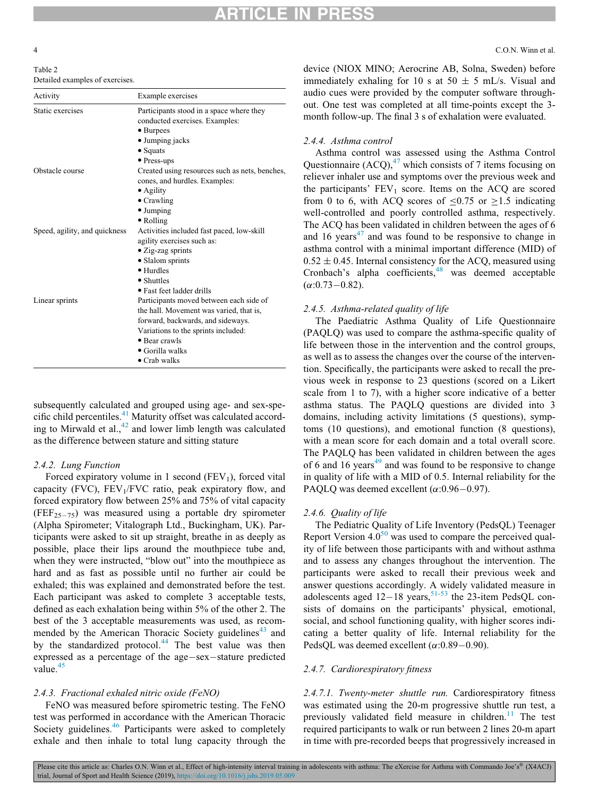### ARTICLE IN PRESS

<span id="page-3-0"></span>Table 2 Detailed examples of exercises.

| Activity                      | Example exercises                              |  |  |  |  |  |
|-------------------------------|------------------------------------------------|--|--|--|--|--|
| Static exercises              | Participants stood in a space where they       |  |  |  |  |  |
|                               | conducted exercises. Examples:                 |  |  |  |  |  |
|                               | • Burpees                                      |  |  |  |  |  |
|                               | • Jumping jacks                                |  |  |  |  |  |
|                               | $\bullet$ Squats                               |  |  |  |  |  |
|                               | $\bullet$ Press-ups                            |  |  |  |  |  |
| Obstacle course               | Created using resources such as nets, benches, |  |  |  |  |  |
|                               | cones, and hurdles. Examples:                  |  |  |  |  |  |
|                               | • Agility                                      |  |  |  |  |  |
|                               | $\bullet$ Crawling                             |  |  |  |  |  |
|                               | $\bullet$ Jumping                              |  |  |  |  |  |
|                               | $\bullet$ Rolling                              |  |  |  |  |  |
| Speed, agility, and quickness | Activities included fast paced, low-skill      |  |  |  |  |  |
|                               | agility exercises such as:                     |  |  |  |  |  |
|                               | $\bullet$ Zig-zag sprints                      |  |  |  |  |  |
|                               | • Slalom sprints                               |  |  |  |  |  |
|                               | • Hurdles                                      |  |  |  |  |  |
|                               | $\bullet$ Shuttles                             |  |  |  |  |  |
|                               | • Fast feet ladder drills                      |  |  |  |  |  |
| Linear sprints                | Participants moved between each side of        |  |  |  |  |  |
|                               | the hall. Movement was varied, that is,        |  |  |  |  |  |
|                               | forward, backwards, and sideways.              |  |  |  |  |  |
|                               | Variations to the sprints included:            |  |  |  |  |  |
|                               | • Bear crawls                                  |  |  |  |  |  |
|                               | $\bullet$ Gorilla walks                        |  |  |  |  |  |
|                               | $\bullet$ Crab walks                           |  |  |  |  |  |

subsequently calculated and grouped using age- and sex-spe-cific child percentiles.<sup>[41](#page-10-9)</sup> Maturity offset was calculated according to Mirwald et al., $42$  and lower limb length was calculated as the difference between stature and sitting stature

#### 2.4.2. Lung Function

Forced expiratory volume in 1 second  $(FEV_1)$ , forced vital capacity (FVC),  $FEV<sub>1</sub>/FVC$  ratio, peak expiratory flow, and forced expiratory flow between 25% and 75% of vital capacity (FEF<sub>25-75</sub>) was measured using a portable dry spirometer (Alpha Spirometer; Vitalograph Ltd., Buckingham, UK). Participants were asked to sit up straight, breathe in as deeply as possible, place their lips around the mouthpiece tube and, when they were instructed, "blow out" into the mouthpiece as hard and as fast as possible until no further air could be exhaled; this was explained and demonstrated before the test. Each participant was asked to complete 3 acceptable tests, defined as each exhalation being within 5% of the other 2. The best of the 3 acceptable measurements was used, as recom-mended by the American Thoracic Society guidelines<sup>[43](#page-10-11)</sup> and by the standardized protocol. $44$  The best value was then expressed as a percentage of the  $age—sex-stature$  predicted  $v$ alue.<sup>[45](#page-10-13)</sup>

#### 2.4.3. Fractional exhaled nitric oxide (FeNO)

FeNO was measured before spirometric testing. The FeNO test was performed in accordance with the American Thoracic Society guidelines.<sup>[46](#page-10-14)</sup> Participants were asked to completely exhale and then inhale to total lung capacity through the device (NIOX MINO; Aerocrine AB, Solna, Sweden) before immediately exhaling for 10 s at  $50 \pm 5$  mL/s. Visual and audio cues were provided by the computer software throughout. One test was completed at all time-points except the 3 month follow-up. The final 3 s of exhalation were evaluated.

#### 2.4.4. Asthma control

Asthma control was assessed using the Asthma Control Questionnaire  $(ACQ)$ ,  $47$  which consists of 7 items focusing on reliever inhaler use and symptoms over the previous week and the participants'  $FEV<sub>1</sub>$  score. Items on the ACQ are scored from 0 to 6, with ACQ scores of  $\leq 0.75$  or  $\geq 1.5$  indicating well-controlled and poorly controlled asthma, respectively. The ACQ has been validated in children between the ages of 6 and 16 years<sup>[47](#page-10-15)</sup> and was found to be responsive to change in asthma control with a minimal important difference (MID) of  $0.52 \pm 0.45$ . Internal consistency for the ACQ, measured using Cronbach's alpha coefficients, $48$  was deemed acceptable  $(\alpha:0.73-0.82)$ .

#### 2.4.5. Asthma-related quality of life

The Paediatric Asthma Quality of Life Questionnaire (PAQLQ) was used to compare the asthma-specific quality of life between those in the intervention and the control groups, as well as to assess the changes over the course of the intervention. Specifically, the participants were asked to recall the previous week in response to 23 questions (scored on a Likert scale from 1 to 7), with a higher score indicative of a better asthma status. The PAQLQ questions are divided into 3 domains, including activity limitations (5 questions), symptoms (10 questions), and emotional function (8 questions), with a mean score for each domain and a total overall score. The PAQLQ has been validated in children between the ages of 6 and 16 years<sup>[49](#page-10-17)</sup> and was found to be responsive to change in quality of life with a MID of 0.5. Internal reliability for the PAQLQ was deemed excellent  $(\alpha:0.96-0.97)$ .

#### 2.4.6. Quality of life

The Pediatric Quality of Life Inventory (PedsQL) Teenager Report Version  $4.0<sup>50</sup>$  $4.0<sup>50</sup>$  $4.0<sup>50</sup>$  was used to compare the perceived quality of life between those participants with and without asthma and to assess any changes throughout the intervention. The participants were asked to recall their previous week and answer questions accordingly. A widely validated measure in adolescents aged  $12-18$  years,<sup>[51-53](#page-10-19)</sup> the 23-item PedsQL consists of domains on the participants' physical, emotional, social, and school functioning quality, with higher scores indicating a better quality of life. Internal reliability for the PedsQL was deemed excellent  $(\alpha:0.89-0.90)$ .

#### 2.4.7. Cardiorespiratory fitness

2.4.7.1. Twenty-meter shuttle run. Cardiorespiratory fitness was estimated using the 20-m progressive shuttle run test, a previously validated field measure in children.<sup>[11](#page-9-5)</sup> The test required participants to walk or run between 2 lines 20-m apart in time with pre-recorded beeps that progressively increased in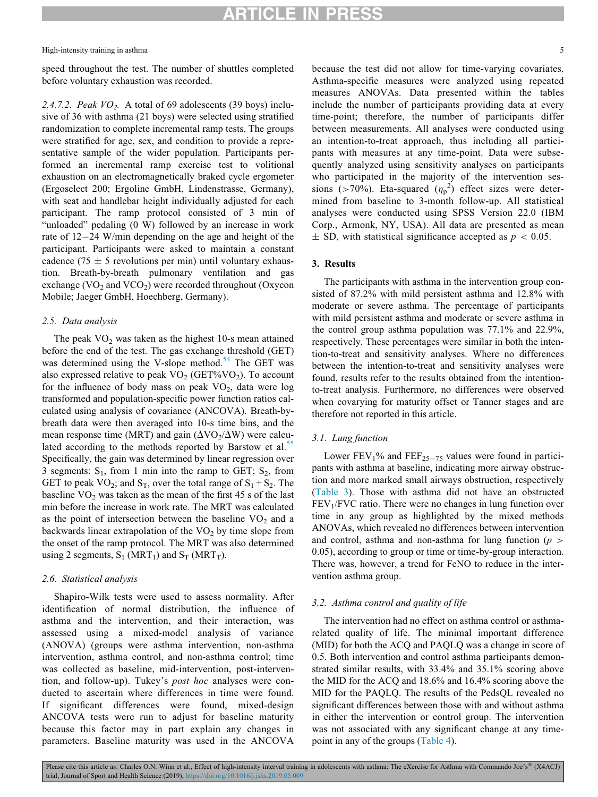### RTICI E IN PRES

#### High-intensity training in asthma 5

speed throughout the test. The number of shuttles completed before voluntary exhaustion was recorded.

2.4.7.2. *Peak*  $VO<sub>2</sub>$ *.* A total of 69 adolescents (39 boys) inclusive of 36 with asthma (21 boys) were selected using stratified randomization to complete incremental ramp tests. The groups were stratified for age, sex, and condition to provide a representative sample of the wider population. Participants performed an incremental ramp exercise test to volitional exhaustion on an electromagnetically braked cycle ergometer (Ergoselect 200; Ergoline GmbH, Lindenstrasse, Germany), with seat and handlebar height individually adjusted for each participant. The ramp protocol consisted of 3 min of "unloaded" pedaling (0 W) followed by an increase in work rate of  $12-24$  W/min depending on the age and height of the participant. Participants were asked to maintain a constant cadence (75  $\pm$  5 revolutions per min) until voluntary exhaustion. Breath-by-breath pulmonary ventilation and gas exchange  $(VO_2$  and  $VCO_2$ ) were recorded throughout (Oxycon Mobile; Jaeger GmbH, Hoechberg, Germany).

#### 2.5. Data analysis

The peak  $VO<sub>2</sub>$  was taken as the highest 10-s mean attained before the end of the test. The gas exchange threshold (GET) was determined using the V-slope method.<sup>[54](#page-10-20)</sup> The GET was also expressed relative to peak  $VO<sub>2</sub>$  (GET%VO<sub>2</sub>). To account for the influence of body mass on peak  $VO_2$ , data were log transformed and population-specific power function ratios calculated using analysis of covariance (ANCOVA). Breath-bybreath data were then averaged into 10-s time bins, and the mean response time (MRT) and gain ( $\Delta \text{VO}_2/\Delta \text{W}$ ) were calcu-lated according to the methods reported by Barstow et al.<sup>[55](#page-10-21)</sup> Specifically, the gain was determined by linear regression over 3 segments:  $S_1$ , from 1 min into the ramp to GET;  $S_2$ , from GET to peak  $VO_2$ ; and  $S_T$ , over the total range of  $S_1 + S_2$ . The baseline  $\rm{VO}_2$  was taken as the mean of the first 45 s of the last min before the increase in work rate. The MRT was calculated as the point of intersection between the baseline  $VO<sub>2</sub>$  and a backwards linear extrapolation of the  $VO<sub>2</sub>$  by time slope from the onset of the ramp protocol. The MRT was also determined using 2 segments,  $S_1$  (MRT<sub>1</sub>) and  $S_T$  (MRT<sub>T</sub>).

#### 2.6. Statistical analysis

Shapiro-Wilk tests were used to assess normality. After identification of normal distribution, the influence of asthma and the intervention, and their interaction, was assessed using a mixed-model analysis of variance (ANOVA) (groups were asthma intervention, non-asthma intervention, asthma control, and non-asthma control; time was collected as baseline, mid-intervention, post-intervention, and follow-up). Tukey's post hoc analyses were conducted to ascertain where differences in time were found. If significant differences were found, mixed-design ANCOVA tests were run to adjust for baseline maturity because this factor may in part explain any changes in parameters. Baseline maturity was used in the ANCOVA

because the test did not allow for time-varying covariates. Asthma-specific measures were analyzed using repeated measures ANOVAs. Data presented within the tables include the number of participants providing data at every time-point; therefore, the number of participants differ between measurements. All analyses were conducted using an intention-to-treat approach, thus including all participants with measures at any time-point. Data were subsequently analyzed using sensitivity analyses on participants who participated in the majority of the intervention sessions (>70%). Eta-squared  $(\eta_p^2)$  effect sizes were determined from baseline to 3-month follow-up. All statistical analyses were conducted using SPSS Version 22.0 (IBM Corp., Armonk, NY, USA). All data are presented as mean  $\pm$  SD, with statistical significance accepted as  $p < 0.05$ .

#### 3. Results

The participants with asthma in the intervention group consisted of 87.2% with mild persistent asthma and 12.8% with moderate or severe asthma. The percentage of participants with mild persistent asthma and moderate or severe asthma in the control group asthma population was 77.1% and 22.9%, respectively. These percentages were similar in both the intention-to-treat and sensitivity analyses. Where no differences between the intention-to-treat and sensitivity analyses were found, results refer to the results obtained from the intentionto-treat analysis. Furthermore, no differences were observed when covarying for maturity offset or Tanner stages and are therefore not reported in this article.

#### 3.1. Lung function

Lower  $FEV_1\%$  and  $FEF_{25-75}$  values were found in participants with asthma at baseline, indicating more airway obstruction and more marked small airways obstruction, respectively [\(Table 3](#page-5-0)). Those with asthma did not have an obstructed  $FEV<sub>1</sub>/FVC$  ratio. There were no changes in lung function over time in any group as highlighted by the mixed methods ANOVAs, which revealed no differences between intervention and control, asthma and non-asthma for lung function ( $p >$ 0.05), according to group or time or time-by-group interaction. There was, however, a trend for FeNO to reduce in the intervention asthma group.

#### 3.2. Asthma control and quality of life

The intervention had no effect on asthma control or asthmarelated quality of life. The minimal important difference (MID) for both the ACQ and PAQLQ was a change in score of 0.5. Both intervention and control asthma participants demonstrated similar results, with 33.4% and 35.1% scoring above the MID for the ACQ and 18.6% and 16.4% scoring above the MID for the PAQLQ. The results of the PedsQL revealed no significant differences between those with and without asthma in either the intervention or control group. The intervention was not associated with any significant change at any timepoint in any of the groups [\(Table 4](#page-6-0)).

Please cite this article as: Charles O.N. Winn et al., Effect of high-intensity interval training in adolescents with asthma: The eXercise for Asthma with Commando Joe's® (X4ACJ) trial, Journal of Sport and Health Science (2019), <https://doi.org/10.1016/j.jshs.2019.05.009>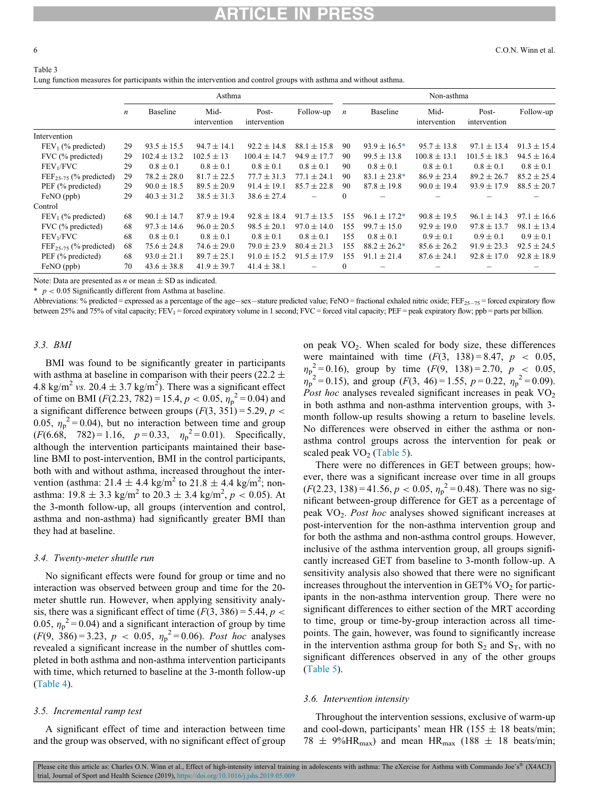<span id="page-5-0"></span>Table 3

| Lung function measures for participants within the intervention and control groups with asthma and without asthma. |                  |                  |                      |                       |                 |                  |                   |                      |                       |                 |  |  |  |
|--------------------------------------------------------------------------------------------------------------------|------------------|------------------|----------------------|-----------------------|-----------------|------------------|-------------------|----------------------|-----------------------|-----------------|--|--|--|
|                                                                                                                    |                  |                  | Asthma               |                       |                 |                  | Non-asthma        |                      |                       |                 |  |  |  |
|                                                                                                                    | $\boldsymbol{n}$ | Baseline         | Mid-<br>intervention | Post-<br>intervention | Follow-up       | $\boldsymbol{n}$ | Baseline          | Mid-<br>intervention | Post-<br>intervention | Follow-up       |  |  |  |
| Intervention                                                                                                       |                  |                  |                      |                       |                 |                  |                   |                      |                       |                 |  |  |  |
| $FEV1$ (% predicted)                                                                                               | 29               | $93.5 \pm 15.5$  | $94.7 \pm 14.1$      | $92.2 \pm 14.8$       | $88.1 \pm 15.8$ | 90               | $93.9 \pm 16.5^*$ | $95.7 \pm 13.8$      | $97.1 \pm 13.4$       | $91.3 \pm 15.4$ |  |  |  |
| FVC (% predicted)                                                                                                  | 29               | $102.4 \pm 13.2$ | $102.5 \pm 13$       | $100.4 \pm 14.7$      | $94.9 \pm 17.7$ | 90               | $99.5 \pm 13.8$   | $100.8 \pm 13.1$     | $101.5 \pm 18.3$      | $94.5 \pm 16.4$ |  |  |  |
| FEV <sub>1</sub> /FVC                                                                                              | 29               | $0.8 \pm 0.1$    | $0.8 \pm 0.1$        | $0.8 \pm 0.1$         | $0.8 \pm 0.1$   | 90               | $0.8 \pm 0.1$     | $0.8 \pm 0.1$        | $0.8 \pm 0.1$         | $0.8 \pm 0.1$   |  |  |  |
| $FEF25-75$ (% predicted)                                                                                           | 29               | $78.2 \pm 28.0$  | $81.7 \pm 22.5$      | $77.7 \pm 31.3$       | $77.1 \pm 24.1$ | 90               | $83.1 \pm 23.8^*$ | $86.9 \pm 23.4$      | $89.2 \pm 26.7$       | $85.2 \pm 25.4$ |  |  |  |
| PEF (% predicted)                                                                                                  | 29               | $90.0 \pm 18.5$  | $89.5 \pm 20.9$      | $91.4 \pm 19.1$       | $85.7 \pm 22.8$ | 90               | $87.8 \pm 19.8$   | $90.0 \pm 19.4$      | $93.9 \pm 17.9$       | $88.5 \pm 20.7$ |  |  |  |
| FeNO (ppb)                                                                                                         | 29               | $40.3 \pm 31.2$  | $38.5 \pm 31.3$      | $38.6 \pm 27.4$       |                 | $\mathbf{0}$     |                   |                      |                       |                 |  |  |  |
| Control                                                                                                            |                  |                  |                      |                       |                 |                  |                   |                      |                       |                 |  |  |  |
| $FEV1$ (% predicted)                                                                                               | 68               | $90.1 \pm 14.7$  | $87.9 \pm 19.4$      | $92.8 \pm 18.4$       | $91.7 \pm 13.5$ | 155              | $96.1 \pm 17.2^*$ | $90.8 \pm 19.5$      | $96.1 \pm 14.3$       | $97.1 \pm 16.6$ |  |  |  |
| FVC (% predicted)                                                                                                  | 68               | $97.3 \pm 14.6$  | $96.0 \pm 20.5$      | $98.5 \pm 20.1$       | $97.0 \pm 14.0$ | 155              | $99.7 \pm 15.0$   | $92.9 \pm 19.0$      | $97.8 \pm 13.7$       | $98.1 \pm 13.4$ |  |  |  |
| FEV <sub>1</sub> /FVC                                                                                              | 68               | $0.8 \pm 0.1$    | $0.8 \pm 0.1$        | $0.8 \pm 0.1$         | $0.8 \pm 0.1$   | 155              | $0.8 \pm 0.1$     | $0.9 \pm 0.1$        | $0.9 \pm 0.1$         | $0.9 \pm 0.1$   |  |  |  |
| $FEF_{25-75}$ (% predicted)                                                                                        | 68               | $75.6 \pm 24.8$  | $74.6 \pm 29.0$      | $79.0 \pm 23.9$       | $80.4 \pm 21.3$ | 155              | $88.2 \pm 26.2^*$ | $85.6 \pm 26.2$      | $91.9 \pm 23.3$       | $92.5 \pm 24.5$ |  |  |  |
| PEF (% predicted)                                                                                                  | 68               | $93.0 \pm 21.1$  | $89.7 \pm 25.1$      | $91.0 \pm 15.2$       | $91.5 \pm 17.9$ | 155              | $91.1 \pm 21.4$   | $87.6 \pm 24.1$      | $92.8 \pm 17.0$       | $92.8 \pm 18.9$ |  |  |  |
| FeNO (ppb)                                                                                                         | 70               | $43.6 \pm 38.8$  | $41.9 \pm 39.7$      | $41.4 \pm 38.1$       |                 | $\mathbf{0}$     |                   |                      |                       |                 |  |  |  |

Note: Data are presented as *n* or mean  $\pm$  SD as indicated.

 $*$   $p < 0.05$  Significantly different from Asthma at baseline.

<span id="page-5-1"></span>Abbreviations: % predicted = expressed as a percentage of the age-sex-stature predicted value; FeNO = fractional exhaled nitric oxide; FEF<sub>25-75</sub> = forced expiratory flow between 25% and 75% of vital capacity; FEV<sub>1</sub> = forced expiratory volume in 1 second; FVC = forced vital capacity; PEF = peak expiratory flow; ppb = parts per billion.

#### 3.3. BMI

BMI was found to be significantly greater in participants with asthma at baseline in comparison with their peers (22.2  $\pm$ 4.8 kg/m<sup>2</sup> vs. 20.4  $\pm$  3.7 kg/m<sup>2</sup>). There was a significant effect of time on BMI ( $F(2.23, 782) = 15.4, p < 0.05, \eta_p^2 = 0.04$ ) and a significant difference between groups  $(F(3, 351) = 5.29, p <$ 0.05,  $\eta_p^2$  = 0.04), but no interaction between time and group  $(F(6.68, 782)) = 1.16, p = 0.33, \eta_p^2 = 0.01$ . Specifically, although the intervention participants maintained their baseline BMI to post-intervention, BMI in the control participants, both with and without asthma, increased throughout the intervention (asthma: 21.4  $\pm$  4.4 kg/m<sup>2</sup> to 21.8  $\pm$  4.4 kg/m<sup>2</sup>; nonasthma:  $19.8 \pm 3.3 \text{ kg/m}^2$  to  $20.3 \pm 3.4 \text{ kg/m}^2$ ,  $p < 0.05$ ). At the 3-month follow-up, all groups (intervention and control, asthma and non-asthma) had significantly greater BMI than they had at baseline.

#### 3.4. Twenty-meter shuttle run

No significant effects were found for group or time and no interaction was observed between group and time for the 20 meter shuttle run. However, when applying sensitivity analysis, there was a significant effect of time  $(F(3, 386) = 5.44, p <$ 0.05,  $\eta_p^2$  = 0.04) and a significant interaction of group by time  $(F(9, 386) = 3.23, p < 0.05, \eta_p^2 = 0.06$ ). Post hoc analyses revealed a significant increase in the number of shuttles completed in both asthma and non-asthma intervention participants with time, which returned to baseline at the 3-month follow-up ([Table 4\)](#page-6-0).

#### 3.5. Incremental ramp test

A significant effect of time and interaction between time and the group was observed, with no significant effect of group on peak  $VO<sub>2</sub>$ . When scaled for body size, these differences were maintained with time  $(F(3, 138) = 8.47, p < 0.05,$  $n_p^2 = 0.16$ , group by time  $(F(9, 138)) = 2.70$ ,  $p < 0.05$ ,  $\eta_{\rm p}$ <sup>2</sup> = 0.15), and group ( $F(3, 46)$  = 1.55,  $p = 0.22$ ,  $\eta_p^2 = 0.09$ ). Post hoc analyses revealed significant increases in peak  $VO<sub>2</sub>$ in both asthma and non-asthma intervention groups, with 3 month follow-up results showing a return to baseline levels. No differences were observed in either the asthma or nonasthma control groups across the intervention for peak or scaled peak  $VO<sub>2</sub>$  ([Table 5](#page-6-1)).

There were no differences in GET between groups; however, there was a significant increase over time in all groups  $(F(2.23, 138) = 41.56, p < 0.05, \eta_p^2 = 0.48)$ . There was no significant between-group difference for GET as a percentage of peak  $VO<sub>2</sub>$ . Post hoc analyses showed significant increases at post-intervention for the non-asthma intervention group and for both the asthma and non-asthma control groups. However, inclusive of the asthma intervention group, all groups significantly increased GET from baseline to 3-month follow-up. A sensitivity analysis also showed that there were no significant increases throughout the intervention in  $GET\%$  VO<sub>2</sub> for participants in the non-asthma intervention group. There were no significant differences to either section of the MRT according to time, group or time-by-group interaction across all timepoints. The gain, however, was found to significantly increase in the intervention asthma group for both  $S_2$  and  $S_T$ , with no significant differences observed in any of the other groups ([Table 5\)](#page-6-1).

#### 3.6. Intervention intensity

Throughout the intervention sessions, exclusive of warm-up and cool-down, participants' mean HR (155  $\pm$  18 beats/min; 78  $\pm$  9%HR<sub>max</sub>) and mean HR<sub>max</sub> (188  $\pm$  18 beats/min;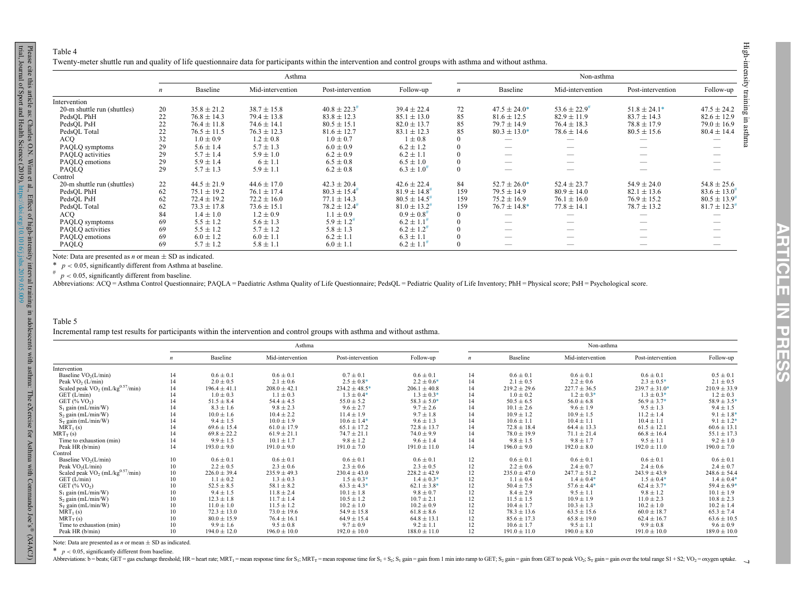<span id="page-6-2"></span>

| Twenty-meter shuttle run and quality of life questionnaire data for participants within the intervention and control groups with asthma and without asthma |  |  |  |  |  |
|------------------------------------------------------------------------------------------------------------------------------------------------------------|--|--|--|--|--|

|                             |                  |                 | Asthma           |                              |                              | Non-asthma       |                          |                          |                          |                              |  |  |
|-----------------------------|------------------|-----------------|------------------|------------------------------|------------------------------|------------------|--------------------------|--------------------------|--------------------------|------------------------------|--|--|
|                             | $\boldsymbol{n}$ | Baseline        | Mid-intervention | Post-intervention            | Follow-up                    | $\boldsymbol{n}$ | Baseline                 | Mid-intervention         | Post-intervention        | Follow-up                    |  |  |
| Intervention                |                  |                 |                  |                              |                              |                  |                          |                          |                          |                              |  |  |
| 20-m shuttle run (shuttles) | 20               | $35.8 \pm 21.2$ | $38.7 \pm 15.8$  | $40.8 \pm 22.3$ <sup>#</sup> | $39.4 \pm 22.4$              | 72               | $47.5 \pm 24.0*$         | $53.6 \pm 22.9^{\#}$     | $51.8 \pm 24.1*$         | $47.5 \pm 24.2$              |  |  |
| PedsQL PhH                  | 22               | $76.8 \pm 14.3$ | $79.4 \pm 13.8$  | $83.8 \pm 12.3$              | $85.1 \pm 13.0$              | 85               | $81.6 \pm 12.5$          | $82.9 \pm 11.9$          | $83.7 \pm 14.3$          | $82.6 \pm 12.9$              |  |  |
| PedsOL PsH                  | 22               | $76.4 \pm 11.8$ | $74.6 \pm 14.1$  | $80.5 \pm 15.1$              | $82.0 \pm 13.7$              | 85               | $79.7 \pm 14.9$          | $76.4 \pm 18.3$          | $78.8 \pm 17.9$          | $79.0 \pm 16.9$              |  |  |
| PedsQL Total                | 22               | $76.5 \pm 11.5$ | $76.3 \pm 12.3$  | $81.6 \pm 12.7$              | $83.1 \pm 12.3$              | 85               | $80.3 \pm 13.0*$         | $78.6 \pm 14.6$          | $80.5 \pm 15.6$          | $80.4 \pm 14.4$              |  |  |
| <b>ACQ</b>                  | 32               | $1.0 \pm 0.9$   | $1.2 \pm 0.8$    | $1.0 \pm 0.7$                | $1 \pm 0.8$                  | $\Omega$         | $\overline{\phantom{a}}$ |                          |                          |                              |  |  |
| PAQLQ symptoms              | 29               | $5.6 \pm 1.4$   | $5.7 \pm 1.3$    | $6.0 \pm 0.9$                | $6.2 \pm 1.2$                |                  |                          | $\sim$                   |                          |                              |  |  |
| PAOLO activities            | 29               | $5.7 \pm 1.4$   | $5.9 \pm 1.0$    | $6.2 \pm 0.9$                | $6.2 \pm 1.1$                | $\Omega$         | $\sim$                   | $\sim$                   |                          |                              |  |  |
| PAOLO emotions              | 29               | $5.9 \pm 1.4$   | $6 \pm 1.1$      | $6.5 \pm 0.8$                | $6.5 \pm 1.0$                |                  | $\sim$                   | $\overline{\phantom{a}}$ | $\overline{\phantom{a}}$ |                              |  |  |
| PAQLQ                       | 29               | $5.7 \pm 1.3$   | $5.9 \pm 1.1$    | $6.2 \pm 0.8$                | $6.3 \pm 1.0^{4}$            | $\Omega$         |                          | $\sim$                   | $\overline{\phantom{a}}$ |                              |  |  |
| Control                     |                  |                 |                  |                              |                              |                  |                          |                          |                          |                              |  |  |
| 20-m shuttle run (shuttles) | 22               | $44.5 \pm 21.9$ | $44.6 \pm 17.0$  | $42.3 \pm 20.4$              | $42.6 \pm 22.4$              | 84               | $52.7 \pm 26.0*$         | $52.4 \pm 23.7$          | $54.9 \pm 24.0$          | $54.8 \pm 25.6$              |  |  |
| PedsOL PhH                  | 62               | $75.1 \pm 19.2$ | $76.1 \pm 17.4$  | $80.3 \pm 15.4^{\#}$         | $81.9 \pm 14.8$ <sup>#</sup> | 159              | $79.5 \pm 14.9$          | $80.9 \pm 14.0$          | $82.1 \pm 13.6$          | $83.6 \pm 13.0^{\#}$         |  |  |
| PedsOL PsH                  | 62               | $72.4 \pm 19.2$ | $72.2 \pm 16.0$  | $77.1 \pm 14.3$              | $80.5 \pm 14.5^{\#}$         | 159              | $75.2 \pm 16.9$          | $76.1 \pm 16.0$          | $76.9 \pm 15.2$          | $80.5 \pm 13.9$ <sup>#</sup> |  |  |
| PedsQL Total                | 62               | $73.3 \pm 17.8$ | $73.6 \pm 15.1$  | $78.2 \pm 12.4^{\#}$         | $81.0 \pm 13.2$ <sup>#</sup> | 159              | $76.7 \pm 14.8*$         | $77.8 \pm 14.1$          | $78.7 \pm 13.2$          | $81.7 \pm 12.3$ <sup>#</sup> |  |  |
| ACQ                         | 84               | $1.4 \pm 1.0$   | $1.2 \pm 0.9$    | $1.1 \pm 0.9$                | $0.9 \pm 0.8$ <sup>#</sup>   | $\Omega$         | $\overline{\phantom{a}}$ |                          |                          |                              |  |  |
| PAQLQ symptoms              | 69               | $5.5 \pm 1.2$   | $5.6 \pm 1.3$    | $5.9 \pm 1.2^{\text{*}}$     | $6.2 \pm 1.1^{\frac{1}{2}}$  |                  |                          |                          |                          |                              |  |  |
| PAOLO activities            | 69               | $5.5 \pm 1.2$   | $5.7 \pm 1.2$    | $5.8 \pm 1.3$                | $6.2 \pm 1.2^{\#}$           |                  | $\overline{\phantom{a}}$ | $\overline{\phantom{a}}$ | $\overline{\phantom{a}}$ |                              |  |  |
| PAQLQ emotions              | 69               | $6.0 \pm 1.2$   | $6.0 \pm 1.1$    | $6.2 \pm 1.1$                | $6.3 \pm 1.1$                |                  | $\sim$                   | $\sim$                   | $\overline{\phantom{a}}$ |                              |  |  |
| PAQLQ                       | 69               | $5.7 \pm 1.2$   | $5.8 \pm 1.1$    | $6.0 \pm 1.1$                | $6.2 \pm 1.1$ <sup>3</sup>   | $\Omega$         | --                       |                          | --                       |                              |  |  |

Note: Data are presented as *n* or mean  $\pm$  SD as indicated.

 $p < 0.05$ , significantly different from Asthma at baseline.

 $\# p < 0.05$ , significantly different from baseline.

<span id="page-6-3"></span>Abbreviations: ACQ <sup>=</sup> Asthma Control Questionnaire; PAQLA <sup>=</sup> Paediatric Asthma Quality of Life Questionnaire; PedsQL <sup>=</sup> Pediatric Quality of Life Inventory; PhH <sup>=</sup> Physical score; PsH <sup>=</sup> Psychological score.

#### Table 5

<span id="page-6-1"></span>Please cite this article as: Charles O.N. Winn et al., Effect of high-intensity interval training in adolescents with asthma: The eXercise for Asthma

<https://doi.org/10.1016/j.jshs.2019.05.009>

<span id="page-6-0"></span>trial, Journal of Sport and Health Science (2019),

with Commando Joe's

(X4ACJ)

Incremental ramp test results for participants within the intervention and control groups with asthma and without asthma.

|                                                 |                  |                  | Asthma           |                    | Non-asthma       |                  |                  |                  |                   |                  |  |
|-------------------------------------------------|------------------|------------------|------------------|--------------------|------------------|------------------|------------------|------------------|-------------------|------------------|--|
|                                                 | $\boldsymbol{n}$ | Baseline         | Mid-intervention | Post-intervention  | Follow-up        | $\boldsymbol{n}$ | Baseline         | Mid-intervention | Post-intervention | Follow-up        |  |
| Intervention                                    |                  |                  |                  |                    |                  |                  |                  |                  |                   |                  |  |
| Baseline $VO2(L/min)$                           | 14               | $0.6 \pm 0.1$    | $0.6 \pm 0.1$    | $0.7 \pm 0.1$      | $0.6 \pm 0.1$    | 14               | $0.6 \pm 0.1$    | $0.6 \pm 0.1$    | $0.6 \pm 0.1$     | $0.5 \pm 0.1$    |  |
| Peak $VO2 (L/min)$                              | 14               | $2.0 \pm 0.5$    | $2.1 \pm 0.6$    | $2.5 \pm 0.8^*$    | $2.2 \pm 0.6^*$  | 14               | $2.1 \pm 0.5$    | $2.2 \pm 0.6$    | $2.3 \pm 0.5*$    | $2.1 \pm 0.5$    |  |
| Scaled peak $VO_2$ (mL/kg <sup>0.57</sup> /min) | 14               | $196.4 \pm 41.1$ | $208.0 \pm 42.1$ | $234.2 \pm 48.5^*$ | $206.1 \pm 40.8$ | 14               | $219.2 \pm 29.6$ | $227.7 \pm 36.5$ | $239.7 \pm 31.0*$ | $210.9 \pm 33.9$ |  |
| GET (L/min)                                     | 14               | $1.0 \pm 0.3$    | $1.1 \pm 0.3$    | $1.3 \pm 0.4*$     | $1.3 \pm 0.3*$   | 14               | $1.0 \pm 0.2$    | $1.2 \pm 0.3*$   | $1.3 \pm 0.3*$    | $1.2 \pm 0.3$    |  |
| GET $(\% \text{VO}_2)$                          | 14               | $51.5 \pm 8.4$   | $54.4 \pm 4.5$   | $55.0 \pm 5.2$     | $58.3 \pm 5.0*$  | 14               | $50.5 \pm 6.5$   | $56.0 \pm 6.8$   | $56.9 \pm 3.7*$   | $58.9 \pm 3.5*$  |  |
| $S_1$ gain (mL/min/W)                           | 14               | $8.3 \pm 1.6$    | $9.8 \pm 2.3$    | $9.6 \pm 2.7$      | $9.7 \pm 2.6$    | 14               | $10.1 \pm 2.6$   | $9.6 \pm 1.9$    | $9.5 \pm 1.3$     | $9.4 \pm 1.5$    |  |
| $S_2$ gain (mL/min/W)                           | 14               | $10.0 \pm 1.6$   | $10.4 \pm 2.2$   | $11.4 \pm 1.9$     | $9.7 \pm 1.8$    | 14               | $10.9 \pm 1.2$   | $10.9 \pm 1.5$   | $11.2 \pm 1.4$    | $9.1 \pm 1.8*$   |  |
| $S_T$ gain (mL/min/W)                           |                  | $9.4 \pm 1.5$    | $10.0 \pm 1.9$   | $10.6 \pm 1.4*$    | $9.6 \pm 1.3$    | 14               | $10.6 \pm 1.1$   | $10.4 \pm 1.1$   | $10.4 \pm 1.1$    | $9.1 \pm 1.2*$   |  |
| $MRT_1(s)$                                      | 14               | $69.6 \pm 15.4$  | $61.0 \pm 17.9$  | $65.1 \pm 17.2$    | $72.8 \pm 13.7$  | 14               | $72.8 \pm 18.4$  | $64.4 \pm 13.3$  | $61.5 \pm 12.1$   | $60.6 \pm 13.1$  |  |
| $MRT_T(s)$                                      |                  | $69.8 \pm 22.2$  | $61.9 \pm 21.1$  | $74.7 \pm 21.1$    | $74.0 \pm 9.9$   | 14               | $78.0 \pm 19.9$  | $71.1 \pm 21.4$  | $66.8 \pm 16.4$   | $55.1 \pm 17.3$  |  |
| Time to exhaustion (min)                        |                  | $9.9 \pm 1.5$    | $10.1 \pm 1.7$   | $9.8 \pm 1.2$      | $9.6 \pm 1.4$    | 14               | $9.8 \pm 1.5$    | $9.8 \pm 1.7$    | $9.5 \pm 1.1$     | $9.2 \pm 1.0$    |  |
| Peak HR (b/min)                                 | 14               | $193.0 \pm 9.0$  | $191.0 \pm 9.0$  | $191.0 \pm 7.0$    | $191.0 \pm 11.0$ | 14               | $196.0 \pm 9.0$  | $192.0 \pm 8.0$  | $192.0 \pm 11.0$  | $190.0 \pm 7.0$  |  |
| Control                                         |                  |                  |                  |                    |                  |                  |                  |                  |                   |                  |  |
| Baseline $VO2(L/min)$                           | 10               | $0.6 \pm 0.1$    | $0.6 \pm 0.1$    | $0.6 \pm 0.1$      | $0.6 \pm 0.1$    | 12               | $0.6 \pm 0.1$    | $0.6 \pm 0.1$    | $0.6 \pm 0.1$     | $0.6 \pm 0.1$    |  |
| Peak $VO2(L/min)$                               |                  | $2.2 \pm 0.5$    | $2.3 \pm 0.6$    | $2.3 \pm 0.6$      | $2.3 \pm 0.5$    | 12               | $2.2 \pm 0.6$    | $2.4 \pm 0.7$    | $2.4 \pm 0.6$     | $2.4 \pm 0.7$    |  |
| Scaled peak $\rm VO_{2}^{'} (mL/kg^{0.57}/min)$ | 10               | $226.0 \pm 39.4$ | $235.9 \pm 49.3$ | $230.4 \pm 43.0$   | $228.2 \pm 42.9$ | 12               | $235.0 \pm 47.0$ | $247.7 \pm 51.2$ | $243.9 \pm 43.9$  | $248.6 \pm 54.4$ |  |
| GET(L/min)                                      |                  | $1.1 \pm 0.2$    | $1.3 \pm 0.3$    | $1.5 \pm 0.3*$     | $1.4 \pm 0.3*$   | 12               | $1.1 \pm 0.4$    | $1.4 \pm 0.4*$   | $1.5 \pm 0.4*$    | $1.4 \pm 0.4*$   |  |
| GET $(\% \text{VO}_2)$                          |                  | $52.5 \pm 8.5$   | $58.1 \pm 8.2$   | $63.3 \pm 4.3*$    | $62.1 \pm 3.8*$  | 12               | $50.4 \pm 7.5$   | $57.6 \pm 4.4*$  | $62.4 \pm 3.7*$   | $59.4 \pm 6.9*$  |  |
| $S_1$ gain (mL/min/W)                           |                  | $9.4 \pm 1.5$    | $11.8 \pm 2.4$   | $10.1 \pm 1.8$     | $9.8 \pm 0.7$    | 12               | $8.4 \pm 2.9$    | $9.5 \pm 1.1$    | $9.8 \pm 1.2$     | $10.1 \pm 1.9$   |  |
| $S_2$ gain (mL/min/W)                           |                  | $12.3 \pm 1.8$   | $11.7 \pm 1.4$   | $10.5 \pm 1.2$     | $10.7 \pm 2.1$   | 12               | $11.5 \pm 1.5$   | $10.9 \pm 1.9$   | $11.0 \pm 2.3$    | $10.8 \pm 2.3$   |  |
| $S_T$ gain (mL/min/W)                           |                  | $11.0 \pm 1.0$   | $11.5 \pm 1.2$   | $10.2 \pm 1.0$     | $10.2 \pm 0.9$   | 12               | $10.4 \pm 1.7$   | $10.3 \pm 1.3$   | $10.2 \pm 1.0$    | $10.2 \pm 1.4$   |  |
| $MRT_1(s)$                                      |                  | $72.3 \pm 13.0$  | $73.0 \pm 19.6$  | $54.9 \pm 15.8$    | $61.8 \pm 8.6$   | 12               | $78.3 \pm 13.6$  | $63.5 \pm 15.6$  | $60.0 \pm 18.7$   | $65.3 \pm 7.4$   |  |
| $MRT_T(s)$                                      |                  | $80.0 \pm 15.9$  | $76.4 \pm 16.1$  | $64.9 \pm 15.4$    | $64.8 \pm 13.1$  | 12               | $85.6 \pm 17.3$  | $65.8 \pm 19.0$  | $62.4 \pm 16.7$   | $63.6 \pm 10.5$  |  |
| Time to exhaustion (min)                        |                  | $9.9 \pm 1.6$    | $9.5 \pm 0.8$    | $9.7 \pm 0.9$      | $9.2 \pm 1.1$    | 12               | $10.6 \pm 1.7$   | $9.5 \pm 1.1$    | $9.9 \pm 0.8$     | $9.6 \pm 0.9$    |  |
| Peak HR (b/min)                                 |                  | $194.0 \pm 12.0$ | $196.0 \pm 10.0$ | $192.0 \pm 10.0$   | $188.0 \pm 11.0$ | 12               | $191.0 \pm 11.0$ | $190.0 \pm 8.0$  | $191.0 \pm 10.0$  | $189.0 \pm 10.0$ |  |

Note: Data are presented as  $n$  or mean  $\pm$  SD as indicated.

\*  $p < 0.05$ , significantly different from baseline.

Abbreviations: b = beats; GET = gas exchange threshold; HR = heart rate; MRT<sub>1</sub> = mean response time for S<sub>1</sub>; MRT<sub>T</sub> = mean response time for S<sub>1</sub>; MRT<sub>T</sub> = mean response time for S<sub>1</sub>; MRT<sub>1</sub> = mean response time for S<sub></sub>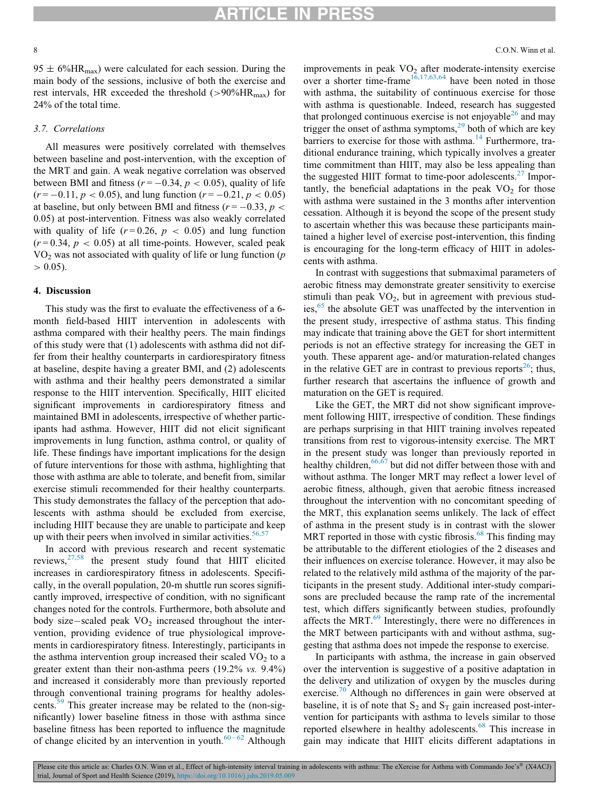$95 \pm 6\%$ HR<sub>max</sub>) were calculated for each session. During the main body of the sessions, inclusive of both the exercise and rest intervals, HR exceeded the threshold ( $>90\%$ HR<sub>max</sub>) for 24% of the total time.

#### 3.7. Correlations

All measures were positively correlated with themselves between baseline and post-intervention, with the exception of the MRT and gain. A weak negative correlation was observed between BMI and fitness ( $r = -0.34$ ,  $p < 0.05$ ), quality of life  $(r = -0.11, p < 0.05)$ , and lung function  $(r = -0.21, p < 0.05)$ at baseline, but only between BMI and fitness ( $r = -0.33$ ,  $p <$ 0.05) at post-intervention. Fitness was also weakly correlated with quality of life  $(r=0.26, p < 0.05)$  and lung function  $(r=0.34, p < 0.05)$  at all time-points. However, scaled peak  $VO<sub>2</sub>$  was not associated with quality of life or lung function (p  $> 0.05$ ).

#### 4. Discussion

This study was the first to evaluate the effectiveness of a 6 month field-based HIIT intervention in adolescents with asthma compared with their healthy peers. The main findings of this study were that (1) adolescents with asthma did not differ from their healthy counterparts in cardiorespiratory fitness at baseline, despite having a greater BMI, and (2) adolescents with asthma and their healthy peers demonstrated a similar response to the HIIT intervention. Specifically, HIIT elicited significant improvements in cardiorespiratory fitness and maintained BMI in adolescents, irrespective of whether participants had asthma. However, HIIT did not elicit significant improvements in lung function, asthma control, or quality of life. These findings have important implications for the design of future interventions for those with asthma, highlighting that those with asthma are able to tolerate, and benefit from, similar exercise stimuli recommended for their healthy counterparts. This study demonstrates the fallacy of the perception that adolescents with asthma should be excluded from exercise, including HIIT because they are unable to participate and keep up with their peers when involved in similar activities. $56,57$ 

In accord with previous research and recent systematic reviews,[27,58](#page-9-15) the present study found that HIIT elicited increases in cardiorespiratory fitness in adolescents. Specifically, in the overall population, 20-m shuttle run scores significantly improved, irrespective of condition, with no significant changes noted for the controls. Furthermore, both absolute and body size-scaled peak  $VO<sub>2</sub>$  increased throughout the intervention, providing evidence of true physiological improvements in cardiorespiratory fitness. Interestingly, participants in the asthma intervention group increased their scaled  $VO<sub>2</sub>$  to a greater extent than their non-asthma peers (19.2% vs. 9.4%) and increased it considerably more than previously reported through conventional training programs for healthy adoles-cents.<sup>[59](#page-10-23)</sup> This greater increase may be related to the (non-significantly) lower baseline fitness in those with asthma since baseline fitness has been reported to influence the magnitude of change elicited by an intervention in youth. $60-62$  $60-62$  $60-62$  Although improvements in peak  $VO<sub>2</sub>$  after moderate-intensity exercise over a shorter time-frame<sup>[16,17,63,64](#page-9-9)</sup> have been noted in those with asthma, the suitability of continuous exercise for those with asthma is questionable. Indeed, research has suggested that prolonged continuous exercise is not enjoyable<sup>[26](#page-9-14)</sup> and may trigger the onset of asthma symptoms, $29$  both of which are key barriers to exercise for those with asthma.<sup>[14](#page-9-7)</sup> Furthermore, traditional endurance training, which typically involves a greater time commitment than HIIT, may also be less appealing than the suggested HIIT format to time-poor adolescents. $27$  Importantly, the beneficial adaptations in the peak  $VO<sub>2</sub>$  for those with asthma were sustained in the 3 months after intervention cessation. Although it is beyond the scope of the present study to ascertain whether this was because these participants maintained a higher level of exercise post-intervention, this finding is encouraging for the long-term efficacy of HIIT in adolescents with asthma.

In contrast with suggestions that submaximal parameters of aerobic fitness may demonstrate greater sensitivity to exercise stimuli than peak  $VO<sub>2</sub>$ , but in agreement with previous stud-ies,<sup>[65](#page-10-25)</sup> the absolute GET was unaffected by the intervention in the present study, irrespective of asthma status. This finding may indicate that training above the GET for short intermittent periods is not an effective strategy for increasing the GET in youth. These apparent age- and/or maturation-related changes in the relative GET are in contrast to previous reports<sup>[26](#page-9-14)</sup>; thus, further research that ascertains the influence of growth and maturation on the GET is required.

Like the GET, the MRT did not show significant improvement following HIIT, irrespective of condition. These findings are perhaps surprising in that HIIT training involves repeated transitions from rest to vigorous-intensity exercise. The MRT in the present study was longer than previously reported in healthy children,  $66,67$  but did not differ between those with and without asthma. The longer MRT may reflect a lower level of aerobic fitness, although, given that aerobic fitness increased throughout the intervention with no concomitant speeding of the MRT, this explanation seems unlikely. The lack of effect of asthma in the present study is in contrast with the slower MRT reported in those with cystic fibrosis.<sup>[68](#page-10-27)</sup> This finding may be attributable to the different etiologies of the 2 diseases and their influences on exercise tolerance. However, it may also be related to the relatively mild asthma of the majority of the participants in the present study. Additional inter-study comparisons are precluded because the ramp rate of the incremental test, which differs significantly between studies, profoundly affects the MRT. $<sup>69</sup>$  $<sup>69</sup>$  $<sup>69</sup>$  Interestingly, there were no differences in</sup> the MRT between participants with and without asthma, suggesting that asthma does not impede the response to exercise.

In participants with asthma, the increase in gain observed over the intervention is suggestive of a positive adaptation in the delivery and utilization of oxygen by the muscles during exercise.<sup>[70](#page-10-29)</sup> Although no differences in gain were observed at baseline, it is of note that  $S_2$  and  $S_T$  gain increased post-intervention for participants with asthma to levels similar to those reported elsewhere in healthy adolescents.<sup>[68](#page-10-27)</sup> This increase in gain may indicate that HIIT elicits different adaptations in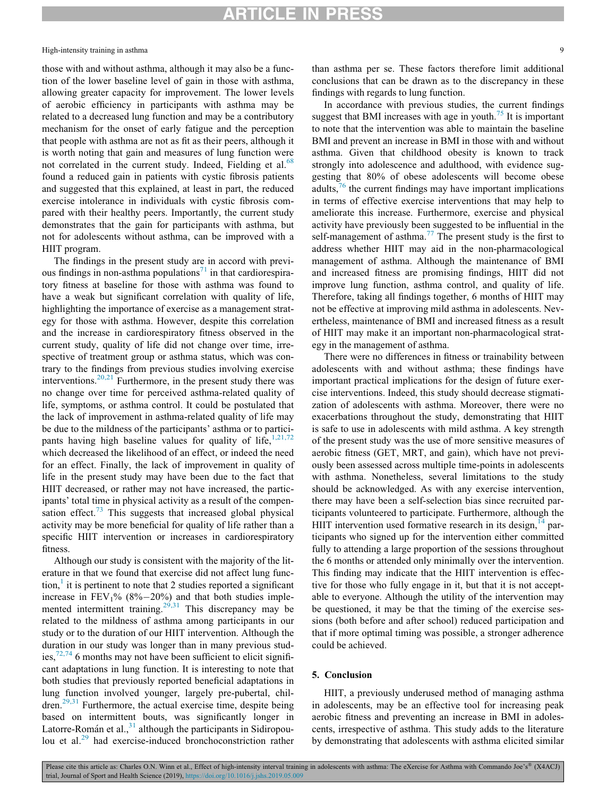#### High-intensity training in asthma 9

those with and without asthma, although it may also be a function of the lower baseline level of gain in those with asthma, allowing greater capacity for improvement. The lower levels of aerobic efficiency in participants with asthma may be related to a decreased lung function and may be a contributory mechanism for the onset of early fatigue and the perception that people with asthma are not as fit as their peers, although it is worth noting that gain and measures of lung function were not correlated in the current study. Indeed, Fielding et al.<sup>[68](#page-10-27)</sup> found a reduced gain in patients with cystic fibrosis patients and suggested that this explained, at least in part, the reduced exercise intolerance in individuals with cystic fibrosis compared with their healthy peers. Importantly, the current study demonstrates that the gain for participants with asthma, but not for adolescents without asthma, can be improved with a HIIT program.

The findings in the present study are in accord with previ-ous findings in non-asthma populations<sup>[71](#page-10-30)</sup> in that cardiorespiratory fitness at baseline for those with asthma was found to have a weak but significant correlation with quality of life, highlighting the importance of exercise as a management strategy for those with asthma. However, despite this correlation and the increase in cardiorespiratory fitness observed in the current study, quality of life did not change over time, irrespective of treatment group or asthma status, which was contrary to the findings from previous studies involving exercise interventions. $20,21$  Furthermore, in the present study there was no change over time for perceived asthma-related quality of life, symptoms, or asthma control. It could be postulated that the lack of improvement in asthma-related quality of life may be due to the mildness of the participants' asthma or to participants having high baseline values for quality of life,  $1,21,72$ which decreased the likelihood of an effect, or indeed the need for an effect. Finally, the lack of improvement in quality of life in the present study may have been due to the fact that HIIT decreased, or rather may not have increased, the participants' total time in physical activity as a result of the compen-sation effect.<sup>[73](#page-10-31)</sup> This suggests that increased global physical activity may be more beneficial for quality of life rather than a specific HIIT intervention or increases in cardiorespiratory fitness.

Although our study is consistent with the majority of the literature in that we found that exercise did not affect lung function, $\frac{1}{1}$  $\frac{1}{1}$  $\frac{1}{1}$  it is pertinent to note that 2 studies reported a significant increase in  $FEV<sub>1</sub>%$  (8%–20%) and that both studies imple-mented intermittent training.<sup>[29,31](#page-9-16)</sup> This discrepancy may be related to the mildness of asthma among participants in our study or to the duration of our HIIT intervention. Although the duration in our study was longer than in many previous studies, $72,74$  6 months may not have been sufficient to elicit significant adaptations in lung function. It is interesting to note that both studies that previously reported beneficial adaptations in lung function involved younger, largely pre-pubertal, children. $29,31$  Furthermore, the actual exercise time, despite being based on intermittent bouts, was significantly longer in Latorre-Román et al., $31$  although the participants in Sidiropou-lou et al.<sup>[29](#page-9-16)</sup> had exercise-induced bronchoconstriction rather than asthma per se. These factors therefore limit additional conclusions that can be drawn as to the discrepancy in these findings with regards to lung function.

In accordance with previous studies, the current findings suggest that BMI increases with age in youth.<sup>[75](#page-10-33)</sup> It is important to note that the intervention was able to maintain the baseline BMI and prevent an increase in BMI in those with and without asthma. Given that childhood obesity is known to track strongly into adolescence and adulthood, with evidence suggesting that 80% of obese adolescents will become obese adults, $\frac{76}{6}$  $\frac{76}{6}$  $\frac{76}{6}$  the current findings may have important implications in terms of effective exercise interventions that may help to ameliorate this increase. Furthermore, exercise and physical activity have previously been suggested to be influential in the self-management of asthma.<sup>[77](#page-10-35)</sup> The present study is the first to address whether HIIT may aid in the non-pharmacological management of asthma. Although the maintenance of BMI and increased fitness are promising findings, HIIT did not improve lung function, asthma control, and quality of life. Therefore, taking all findings together, 6 months of HIIT may not be effective at improving mild asthma in adolescents. Nevertheless, maintenance of BMI and increased fitness as a result of HIIT may make it an important non-pharmacological strategy in the management of asthma.

There were no differences in fitness or trainability between adolescents with and without asthma; these findings have important practical implications for the design of future exercise interventions. Indeed, this study should decrease stigmatization of adolescents with asthma. Moreover, there were no exacerbations throughout the study, demonstrating that HIIT is safe to use in adolescents with mild asthma. A key strength of the present study was the use of more sensitive measures of aerobic fitness (GET, MRT, and gain), which have not previously been assessed across multiple time-points in adolescents with asthma. Nonetheless, several limitations to the study should be acknowledged. As with any exercise intervention, there may have been a self-selection bias since recruited participants volunteered to participate. Furthermore, although the HIIT intervention used formative research in its design,  $14$  participants who signed up for the intervention either committed fully to attending a large proportion of the sessions throughout the 6 months or attended only minimally over the intervention. This finding may indicate that the HIIT intervention is effective for those who fully engage in it, but that it is not acceptable to everyone. Although the utility of the intervention may be questioned, it may be that the timing of the exercise sessions (both before and after school) reduced participation and that if more optimal timing was possible, a stronger adherence could be achieved.

#### 5. Conclusion

HIIT, a previously underused method of managing asthma in adolescents, may be an effective tool for increasing peak aerobic fitness and preventing an increase in BMI in adolescents, irrespective of asthma. This study adds to the literature by demonstrating that adolescents with asthma elicited similar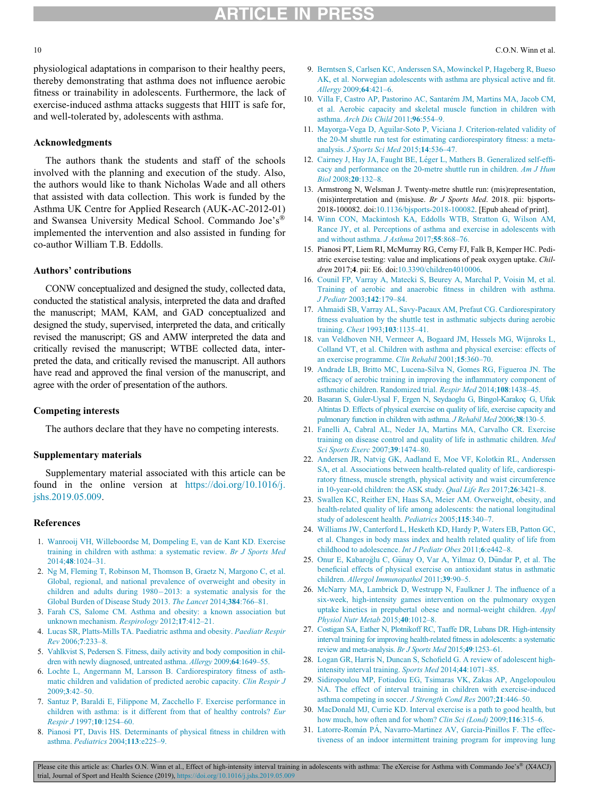physiological adaptations in comparison to their healthy peers, thereby demonstrating that asthma does not influence aerobic fitness or trainability in adolescents. Furthermore, the lack of exercise-induced asthma attacks suggests that HIIT is safe for, and well-tolerated by, adolescents with asthma.

#### <span id="page-9-5"></span>Acknowledgments

<span id="page-9-6"></span>The authors thank the students and staff of the schools involved with the planning and execution of the study. Also, the authors would like to thank Nicholas Wade and all others that assisted with data collection. This work is funded by the Asthma UK Centre for Applied Research (AUK-AC-2012-01) and Swansea University Medical School. Commando Joe's implemented the intervention and also assisted in funding for co-author William T.B. Eddolls.

#### <span id="page-9-9"></span><span id="page-9-8"></span><span id="page-9-7"></span>Authors' contributions

CONW conceptualized and designed the study, collected data, conducted the statistical analysis, interpreted the data and drafted the manuscript; MAM, KAM, and GAD conceptualized and designed the study, supervised, interpreted the data, and critically revised the manuscript; GS and AMW interpreted the data and critically revised the manuscript; WTBE collected data, interpreted the data, and critically revised the manuscript. All authors have read and approved the final version of the manuscript, and agree with the order of presentation of the authors.

#### <span id="page-9-13"></span><span id="page-9-10"></span>Competing interests

The authors declare that they have no competing interests.

#### <span id="page-9-11"></span>Supplementary materials

<span id="page-9-12"></span>Supplementary material associated with this article can be found in the online version at [https://doi.org/10.1016/j.](https://doi.org/10.1016/j.jshs.2019.05.009) [jshs.2019.05.009](https://doi.org/10.1016/j.jshs.2019.05.009).

#### References

- <span id="page-9-0"></span>1. [Wanrooij VH, Willeboordse M, Dompeling E, van de Kant KD. Exercise](http://refhub.elsevier.com/S2095-2546(19)30071-7/sbref0001) [training in children with asthma: a systematic review.](http://refhub.elsevier.com/S2095-2546(19)30071-7/sbref0001) Br J Sports Med 2014;48[:1024–31.](http://refhub.elsevier.com/S2095-2546(19)30071-7/sbref0001)
- <span id="page-9-14"></span>2. [Ng M, Fleming T, Robinson M, Thomson B, Graetz N, Margono C, et al.](http://refhub.elsevier.com/S2095-2546(19)30071-7/sbref0002) [Global, regional, and national prevalence of overweight and obesity in](http://refhub.elsevier.com/S2095-2546(19)30071-7/sbref0002) children and adults during  $1980-2013$ : a systematic analysis for the [Global Burden of Disease Study 2013.](http://refhub.elsevier.com/S2095-2546(19)30071-7/sbref0002) The Lancet 2014;384:766–81.
- <span id="page-9-1"></span>3. [Farah CS, Salome CM. Asthma and obesity: a known association but](http://refhub.elsevier.com/S2095-2546(19)30071-7/sbref0003) [unknown mechanism.](http://refhub.elsevier.com/S2095-2546(19)30071-7/sbref0003) Respirology 2012;17:412–21.
- <span id="page-9-15"></span>4. [Lucas SR, Platts-Mills TA. Paediatric asthma and obesity.](http://refhub.elsevier.com/S2095-2546(19)30071-7/sbref0004) Paediatr Respir Rev 2006;7[:233–8.](http://refhub.elsevier.com/S2095-2546(19)30071-7/sbref0004)
- <span id="page-9-2"></span>5. [Vahlkvist S, Pedersen S. Fitness, daily activity and body composition in chil](http://refhub.elsevier.com/S2095-2546(19)30071-7/sbref0005)[dren with newly diagnosed, untreated asthma.](http://refhub.elsevier.com/S2095-2546(19)30071-7/sbref0005) Allergy 2009;64:1649-55.
- <span id="page-9-16"></span><span id="page-9-3"></span>6. [Lochte L, Angermann M, Larsson B. Cardiorespiratory fitness of asth](http://refhub.elsevier.com/S2095-2546(19)30071-7/sbref0006)[matic children and validation of predicted aerobic capacity.](http://refhub.elsevier.com/S2095-2546(19)30071-7/sbref0006) Clin Respir J 2009;3[:42–50.](http://refhub.elsevier.com/S2095-2546(19)30071-7/sbref0006)
- <span id="page-9-17"></span><span id="page-9-4"></span>7. [Santuz P, Baraldi E, Filippone M, Zacchello F. Exercise performance in](http://refhub.elsevier.com/S2095-2546(19)30071-7/sbref0007) [children with asthma: is it different from that of healthy controls?](http://refhub.elsevier.com/S2095-2546(19)30071-7/sbref0007) Eur Respir J 1997;10[:1254–60.](http://refhub.elsevier.com/S2095-2546(19)30071-7/sbref0007)
- <span id="page-9-18"></span>8. [Pianosi PT, Davis HS. Determinants of physical fitness in children with](http://refhub.elsevier.com/S2095-2546(19)30071-7/sbref0008) asthma. [Pediatrics](http://refhub.elsevier.com/S2095-2546(19)30071-7/sbref0008) 2004;113:e225–9.
- 9. [Berntsen S, Carlsen KC, Anderssen SA, Mowinckel P, Hageberg R, Bueso](http://refhub.elsevier.com/S2095-2546(19)30071-7/sbref0009) [AK, et al. Norwegian adolescents with asthma are physical active and fit.](http://refhub.elsevier.com/S2095-2546(19)30071-7/sbref0009) Allergy 2009;64[:421–6.](http://refhub.elsevier.com/S2095-2546(19)30071-7/sbref0009)
- 10. [Villa F, Castro AP, Pastorino AC, Santar](http://refhub.elsevier.com/S2095-2546(19)30071-7/sbref0010)e[m JM, Martins MA, Jacob CM,](http://refhub.elsevier.com/S2095-2546(19)30071-7/sbref0010) [et al. Aerobic capacity and skeletal muscle function in children with](http://refhub.elsevier.com/S2095-2546(19)30071-7/sbref0010) asthma. [Arch Dis Child](http://refhub.elsevier.com/S2095-2546(19)30071-7/sbref0010) 2011;96:554–9.
- 11. [Mayorga-Vega D, Aguilar-Soto P, Viciana J. Criterion-related validity of](http://refhub.elsevier.com/S2095-2546(19)30071-7/sbref0011) [the 20-M shuttle run test for estimating cardiorespiratory fitness: a meta](http://refhub.elsevier.com/S2095-2546(19)30071-7/sbref0011)analysis. [J Sports Sci Med](http://refhub.elsevier.com/S2095-2546(19)30071-7/sbref0011) 2015;14:536–47.
- 12. [Cairney J, Hay JA, Faught BE, L](http://refhub.elsevier.com/S2095-2546(19)30071-7/sbref0012)éger L, Mathers B. Generalized self-effi[cacy and performance on the 20-metre shuttle run in children.](http://refhub.elsevier.com/S2095-2546(19)30071-7/sbref0012) Am J Hum Biol 2008;20[:132–8.](http://refhub.elsevier.com/S2095-2546(19)30071-7/sbref0012)
- 13. Armstrong N, Welsman J. Twenty-metre shuttle run: (mis)representation, (mis)interpretation and (mis)use. Br J Sports Med. 2018. pii: bjsports-2018-100082. doi:[10.1136/bjsports-2018-100082](https://doi.org/10.1136/bjsports-2018-100082). [Epub ahead of print].
- 14. [Winn CON, Mackintosh KA, Eddolls WTB, Stratton G, Wilson AM,](http://refhub.elsevier.com/S2095-2546(19)30071-7/sbref0014) [Rance JY, et al. Perceptions of asthma and exercise in adolescents with](http://refhub.elsevier.com/S2095-2546(19)30071-7/sbref0014) [and without asthma.](http://refhub.elsevier.com/S2095-2546(19)30071-7/sbref0014) J Asthma 2017;55:868–76.
- 15. Pianosi PT, Liem RI, McMurray RG, Cerny FJ, Falk B, Kemper HC. Pediatric exercise testing: value and implications of peak oxygen uptake. Children 2017;4. pii: E6. doi:[10.3390/children4010006.](https://doi.org/10.3390/children4010006)
- 16. [Counil FP, Varray A, Matecki S, Beurey A, Marchal P, Voisin M, et al.](http://refhub.elsevier.com/S2095-2546(19)30071-7/sbref0016) [Training of aerobic and anaerobic fitness in children with asthma.](http://refhub.elsevier.com/S2095-2546(19)30071-7/sbref0016) [J Pediatr](http://refhub.elsevier.com/S2095-2546(19)30071-7/sbref0016) 2003;142:179–84.
- 17. [Ahmaidi SB, Varray AL, Savy-Pacaux AM, Prefaut CG. Cardiorespiratory](http://refhub.elsevier.com/S2095-2546(19)30071-7/sbref0017) [fitness evaluation by the shuttle test in asthmatic subjects during aerobic](http://refhub.elsevier.com/S2095-2546(19)30071-7/sbref0017) training. Chest 1993;103[:1135–41.](http://refhub.elsevier.com/S2095-2546(19)30071-7/sbref0017)
- 18. [van Veldhoven NH, Vermeer A, Bogaard JM, Hessels MG, Wijnroks L,](http://refhub.elsevier.com/S2095-2546(19)30071-7/sbref0018) [Colland VT, et al. Children with asthma and physical exercise: effects of](http://refhub.elsevier.com/S2095-2546(19)30071-7/sbref0018) [an exercise programme.](http://refhub.elsevier.com/S2095-2546(19)30071-7/sbref0018) Clin Rehabil 2001;15:360–70.
- 19. [Andrade LB, Britto MC, Lucena-Silva N, Gomes RG, Figueroa JN. The](http://refhub.elsevier.com/S2095-2546(19)30071-7/sbref0019) [efficacy of aerobic training in improving the inflammatory component of](http://refhub.elsevier.com/S2095-2546(19)30071-7/sbref0019) [asthmatic children. Randomized trial.](http://refhub.elsevier.com/S2095-2546(19)30071-7/sbref0019) Respir Med 2014;108:1438–45.
- 20. Basaran S, Guler-Uysal F, Ergen N, Seydaoglu G, Bingol-Karakoç G, Ufuk [Altintas D. Effects of physical exercise on](http://refhub.elsevier.com/S2095-2546(19)30071-7/sbref0020) quality of life, exercise capacity and [pulmonary function in children with asthma.](http://refhub.elsevier.com/S2095-2546(19)30071-7/sbref0020) J Rehabil Med 2006;38:130-5.
- 21. [Fanelli A, Cabral AL, Neder JA, Martins MA, Carvalho CR. Exercise](http://refhub.elsevier.com/S2095-2546(19)30071-7/sbref0021) [training on disease control and quality of life in asthmatic children.](http://refhub.elsevier.com/S2095-2546(19)30071-7/sbref0021) Med [Sci Sports Exerc](http://refhub.elsevier.com/S2095-2546(19)30071-7/sbref0021) 2007;39:1474–80.
- 22. [Andersen JR, Natvig GK, Aadland E, Moe VF, Kolotkin RL, Anderssen](http://refhub.elsevier.com/S2095-2546(19)30071-7/sbref0022) [SA, et al. Associations between health-related quality of life, cardiorespi](http://refhub.elsevier.com/S2095-2546(19)30071-7/sbref0022)[ratory fitness, muscle strength, physical activity and waist circumference](http://refhub.elsevier.com/S2095-2546(19)30071-7/sbref0022) [in 10-year-old children: the ASK study.](http://refhub.elsevier.com/S2095-2546(19)30071-7/sbref0022) Qual Life Res 2017;26:3421–8.
- 23. [Swallen KC, Reither EN, Haas SA, Meier AM. Overweight, obesity, and](http://refhub.elsevier.com/S2095-2546(19)30071-7/sbref0023) [health-related quality of life among adolescents: the national longitudinal](http://refhub.elsevier.com/S2095-2546(19)30071-7/sbref0023) [study of adolescent health.](http://refhub.elsevier.com/S2095-2546(19)30071-7/sbref0023) Pediatrics 2005;115:340–7.
- 24. [Williams JW, Canterford L, Hesketh KD, Hardy P, Waters EB, Patton GC,](http://refhub.elsevier.com/S2095-2546(19)30071-7/sbref0024) [et al. Changes in body mass index and health related quality of life from](http://refhub.elsevier.com/S2095-2546(19)30071-7/sbref0024) [childhood to adolescence.](http://refhub.elsevier.com/S2095-2546(19)30071-7/sbref0024) Int J Pediatr Obes 2011;6:e442–8.
- 25. [Onur E, Kabaro](http://refhub.elsevier.com/S2095-2546(19)30071-7/sbref0025)ğlu C, Gü[nay O, Var A, Yilmaz O, D](http://refhub.elsevier.com/S2095-2546(19)30071-7/sbref0025)ündar P, et al. The [beneficial effects of physical exercise on antioxidant status in asthmatic](http://refhub.elsevier.com/S2095-2546(19)30071-7/sbref0025) children. [Allergol Immunopathol](http://refhub.elsevier.com/S2095-2546(19)30071-7/sbref0025) 2011;39:90–5.
- 26. [McNarry MA, Lambrick D, Westrupp N, Faulkner J. The influence of a](http://refhub.elsevier.com/S2095-2546(19)30071-7/sbref0026) [six-week, high-intensity games intervention on the pulmonary oxygen](http://refhub.elsevier.com/S2095-2546(19)30071-7/sbref0026) [uptake kinetics in prepubertal obese and normal-weight children.](http://refhub.elsevier.com/S2095-2546(19)30071-7/sbref0026) Appl [Physiol Nutr Metab](http://refhub.elsevier.com/S2095-2546(19)30071-7/sbref0026) 2015;40:1012–8.
- 27. [Costigan SA, Eather N, Plotnikoff RC,](http://refhub.elsevier.com/S2095-2546(19)30071-7/sbref0027) Taaffe DR, Lubans DR. High-intensity [interval training for improving health-related fitness in adolescents: a systematic](http://refhub.elsevier.com/S2095-2546(19)30071-7/sbref0027) [review and meta-analysis.](http://refhub.elsevier.com/S2095-2546(19)30071-7/sbref0027) Br J Sports Med 2015;49:1253–61.
- 28. [Logan GR, Harris N, Duncan S, Schofield G. A review of adolescent high](http://refhub.elsevier.com/S2095-2546(19)30071-7/sbref0028)[intensity interval training.](http://refhub.elsevier.com/S2095-2546(19)30071-7/sbref0028) Sports Med 2014;44:1071–85.
- 29. [Sidiropoulou MP, Fotiadou EG, Tsimaras VK, Zakas AP, Angelopoulou](http://refhub.elsevier.com/S2095-2546(19)30071-7/sbref0029) [NA. The effect of interval training in children with exercise-induced](http://refhub.elsevier.com/S2095-2546(19)30071-7/sbref0029) [asthma competing in soccer.](http://refhub.elsevier.com/S2095-2546(19)30071-7/sbref0029) J Strength Cond Res 2007;21:446–50.
- 30. [MacDonald MJ, Currie KD. Interval exercise is a path to good health, but](http://refhub.elsevier.com/S2095-2546(19)30071-7/sbref0030) [how much, how often and for whom?](http://refhub.elsevier.com/S2095-2546(19)30071-7/sbref0030) Clin Sci (Lond) 2009;116:315-6.
- 31. [Latorre-Rom](http://refhub.elsevier.com/S2095-2546(19)30071-7/sbref0031)án PÁ, Navarro-Martinez AV, Garcia-Pinillos F. The effec[tiveness of an indoor intermittent training program for improving lung](http://refhub.elsevier.com/S2095-2546(19)30071-7/sbref0031)